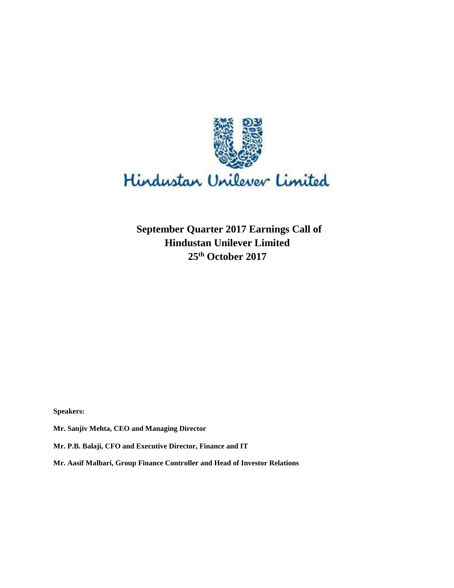

**September Quarter 2017 Earnings Call of Hindustan Unilever Limited 25th October 2017**

**Speakers:** 

**Mr. Sanjiv Mehta, CEO and Managing Director**

**Mr. P.B. Balaji, CFO and Executive Director, Finance and IT**

**Mr. Aasif Malbari, Group Finance Controller and Head of Investor Relations**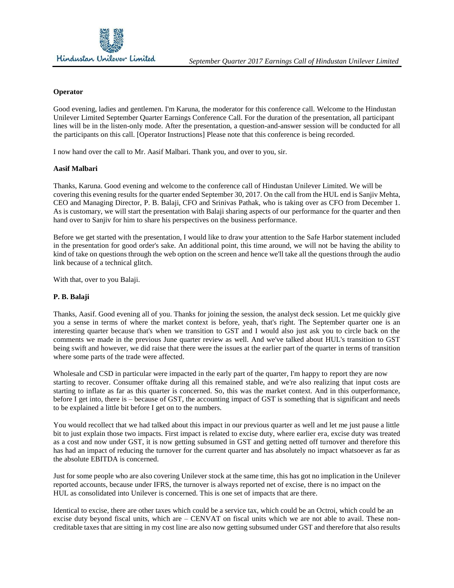### **Operator**

Good evening, ladies and gentlemen. I'm Karuna, the moderator for this conference call. Welcome to the Hindustan Unilever Limited September Quarter Earnings Conference Call. For the duration of the presentation, all participant lines will be in the listen-only mode. After the presentation, a question-and-answer session will be conducted for all the participants on this call. [Operator Instructions] Please note that this conference is being recorded.

I now hand over the call to Mr. Aasif Malbari. Thank you, and over to you, sir.

## **Aasif Malbari**

Thanks, Karuna. Good evening and welcome to the conference call of Hindustan Unilever Limited. We will be covering this evening results for the quarter ended September 30, 2017. On the call from the HUL end is Sanjiv Mehta, CEO and Managing Director, P. B. Balaji, CFO and Srinivas Pathak, who is taking over as CFO from December 1. As is customary, we will start the presentation with Balaji sharing aspects of our performance for the quarter and then hand over to Sanjiv for him to share his perspectives on the business performance.

Before we get started with the presentation, I would like to draw your attention to the Safe Harbor statement included in the presentation for good order's sake. An additional point, this time around, we will not be having the ability to kind of take on questions through the web option on the screen and hence we'll take all the questions through the audio link because of a technical glitch.

With that, over to you Balaji.

### **P. B. Balaji**

Thanks, Aasif. Good evening all of you. Thanks for joining the session, the analyst deck session. Let me quickly give you a sense in terms of where the market context is before, yeah, that's right. The September quarter one is an interesting quarter because that's when we transition to GST and I would also just ask you to circle back on the comments we made in the previous June quarter review as well. And we've talked about HUL's transition to GST being swift and however, we did raise that there were the issues at the earlier part of the quarter in terms of transition where some parts of the trade were affected.

Wholesale and CSD in particular were impacted in the early part of the quarter, I'm happy to report they are now starting to recover. Consumer offtake during all this remained stable, and we're also realizing that input costs are starting to inflate as far as this quarter is concerned. So, this was the market context. And in this outperformance, before I get into, there is – because of GST, the accounting impact of GST is something that is significant and needs to be explained a little bit before I get on to the numbers.

You would recollect that we had talked about this impact in our previous quarter as well and let me just pause a little bit to just explain those two impacts. First impact is related to excise duty, where earlier era, excise duty was treated as a cost and now under GST, it is now getting subsumed in GST and getting netted off turnover and therefore this has had an impact of reducing the turnover for the current quarter and has absolutely no impact whatsoever as far as the absolute EBITDA is concerned.

Just for some people who are also covering Unilever stock at the same time, this has got no implication in the Unilever reported accounts, because under IFRS, the turnover is always reported net of excise, there is no impact on the HUL as consolidated into Unilever is concerned. This is one set of impacts that are there.

Identical to excise, there are other taxes which could be a service tax, which could be an Octroi, which could be an excise duty beyond fiscal units, which are – CENVAT on fiscal units which we are not able to avail. These noncreditable taxes that are sitting in my cost line are also now getting subsumed under GST and therefore that also results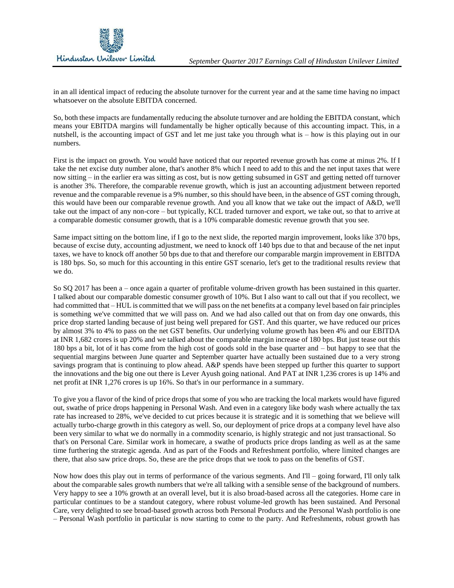in an all identical impact of reducing the absolute turnover for the current year and at the same time having no impact whatsoever on the absolute EBITDA concerned.

So, both these impacts are fundamentally reducing the absolute turnover and are holding the EBITDA constant, which means your EBITDA margins will fundamentally be higher optically because of this accounting impact. This, in a nutshell, is the accounting impact of GST and let me just take you through what is – how is this playing out in our numbers.

First is the impact on growth. You would have noticed that our reported revenue growth has come at minus 2%. If I take the net excise duty number alone, that's another 8% which I need to add to this and the net input taxes that were now sitting – in the earlier era was sitting as cost, but is now getting subsumed in GST and getting netted off turnover is another 3%. Therefore, the comparable revenue growth, which is just an accounting adjustment between reported revenue and the comparable revenue is a 9% number, so this should have been, in the absence of GST coming through, this would have been our comparable revenue growth. And you all know that we take out the impact of A&D, we'll take out the impact of any non-core – but typically, KCL traded turnover and export, we take out, so that to arrive at a comparable domestic consumer growth, that is a 10% comparable domestic revenue growth that you see.

Same impact sitting on the bottom line, if I go to the next slide, the reported margin improvement, looks like 370 bps, because of excise duty, accounting adjustment, we need to knock off 140 bps due to that and because of the net input taxes, we have to knock off another 50 bps due to that and therefore our comparable margin improvement in EBITDA is 180 bps. So, so much for this accounting in this entire GST scenario, let's get to the traditional results review that we do.

So SQ 2017 has been a – once again a quarter of profitable volume-driven growth has been sustained in this quarter. I talked about our comparable domestic consumer growth of 10%. But I also want to call out that if you recollect, we had committed that – HUL is committed that we will pass on the net benefits at a company level based on fair principles is something we've committed that we will pass on. And we had also called out that on from day one onwards, this price drop started landing because of just being well prepared for GST. And this quarter, we have reduced our prices by almost 3% to 4% to pass on the net GST benefits. Our underlying volume growth has been 4% and our EBITDA at INR 1,682 crores is up 20% and we talked about the comparable margin increase of 180 bps. But just tease out this 180 bps a bit, lot of it has come from the high cost of goods sold in the base quarter and – but happy to see that the sequential margins between June quarter and September quarter have actually been sustained due to a very strong savings program that is continuing to plow ahead. A&P spends have been stepped up further this quarter to support the innovations and the big one out there is Lever Ayush going national. And PAT at INR 1,236 crores is up 14% and net profit at INR 1,276 crores is up 16%. So that's in our performance in a summary.

To give you a flavor of the kind of price drops that some of you who are tracking the local markets would have figured out, swathe of price drops happening in Personal Wash. And even in a category like body wash where actually the tax rate has increased to 28%, we've decided to cut prices because it is strategic and it is something that we believe will actually turbo-charge growth in this category as well. So, our deployment of price drops at a company level have also been very similar to what we do normally in a commodity scenario, is highly strategic and not just transactional. So that's on Personal Care. Similar work in homecare, a swathe of products price drops landing as well as at the same time furthering the strategic agenda. And as part of the Foods and Refreshment portfolio, where limited changes are there, that also saw price drops. So, these are the price drops that we took to pass on the benefits of GST.

Now how does this play out in terms of performance of the various segments. And I'll – going forward, I'll only talk about the comparable sales growth numbers that we're all talking with a sensible sense of the background of numbers. Very happy to see a 10% growth at an overall level, but it is also broad-based across all the categories. Home care in particular continues to be a standout category, where robust volume-led growth has been sustained. And Personal Care, very delighted to see broad-based growth across both Personal Products and the Personal Wash portfolio is one – Personal Wash portfolio in particular is now starting to come to the party. And Refreshments, robust growth has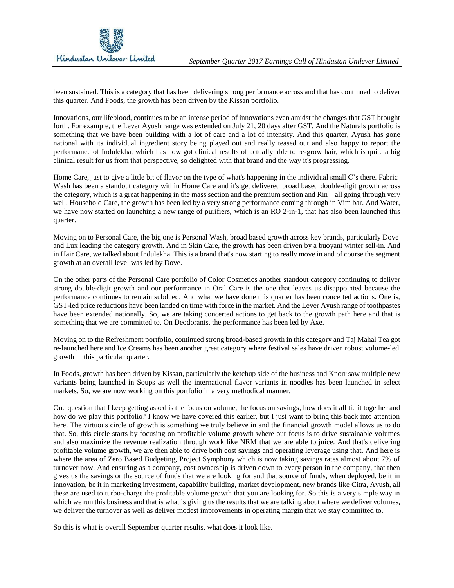

been sustained. This is a category that has been delivering strong performance across and that has continued to deliver this quarter. And Foods, the growth has been driven by the Kissan portfolio.

Innovations, our lifeblood, continues to be an intense period of innovations even amidst the changes that GST brought forth. For example, the Lever Ayush range was extended on July 21, 20 days after GST. And the Naturals portfolio is something that we have been building with a lot of care and a lot of intensity. And this quarter, Ayush has gone national with its individual ingredient story being played out and really teased out and also happy to report the performance of Indulekha, which has now got clinical results of actually able to re-grow hair, which is quite a big clinical result for us from that perspective, so delighted with that brand and the way it's progressing.

Home Care, just to give a little bit of flavor on the type of what's happening in the individual small C's there. Fabric Wash has been a standout category within Home Care and it's get delivered broad based double-digit growth across the category, which is a great happening in the mass section and the premium section and Rin – all going through very well. Household Care, the growth has been led by a very strong performance coming through in Vim bar. And Water, we have now started on launching a new range of purifiers, which is an RO 2-in-1, that has also been launched this quarter.

Moving on to Personal Care, the big one is Personal Wash, broad based growth across key brands, particularly Dove and Lux leading the category growth. And in Skin Care, the growth has been driven by a buoyant winter sell-in. And in Hair Care, we talked about Indulekha. This is a brand that's now starting to really move in and of course the segment growth at an overall level was led by Dove.

On the other parts of the Personal Care portfolio of Color Cosmetics another standout category continuing to deliver strong double-digit growth and our performance in Oral Care is the one that leaves us disappointed because the performance continues to remain subdued. And what we have done this quarter has been concerted actions. One is, GST-led price reductions have been landed on time with force in the market. And the Lever Ayush range of toothpastes have been extended nationally. So, we are taking concerted actions to get back to the growth path here and that is something that we are committed to. On Deodorants, the performance has been led by Axe.

Moving on to the Refreshment portfolio, continued strong broad-based growth in this category and Taj Mahal Tea got re-launched here and Ice Creams has been another great category where festival sales have driven robust volume-led growth in this particular quarter.

In Foods, growth has been driven by Kissan, particularly the ketchup side of the business and Knorr saw multiple new variants being launched in Soups as well the international flavor variants in noodles has been launched in select markets. So, we are now working on this portfolio in a very methodical manner.

One question that I keep getting asked is the focus on volume, the focus on savings, how does it all tie it together and how do we play this portfolio? I know we have covered this earlier, but I just want to bring this back into attention here. The virtuous circle of growth is something we truly believe in and the financial growth model allows us to do that. So, this circle starts by focusing on profitable volume growth where our focus is to drive sustainable volumes and also maximize the revenue realization through work like NRM that we are able to juice. And that's delivering profitable volume growth, we are then able to drive both cost savings and operating leverage using that. And here is where the area of Zero Based Budgeting, Project Symphony which is now taking savings rates almost about 7% of turnover now. And ensuring as a company, cost ownership is driven down to every person in the company, that then gives us the savings or the source of funds that we are looking for and that source of funds, when deployed, be it in innovation, be it in marketing investment, capability building, market development, new brands like Citra, Ayush, all these are used to turbo-charge the profitable volume growth that you are looking for. So this is a very simple way in which we run this business and that is what is giving us the results that we are talking about where we deliver volumes, we deliver the turnover as well as deliver modest improvements in operating margin that we stay committed to.

So this is what is overall September quarter results, what does it look like.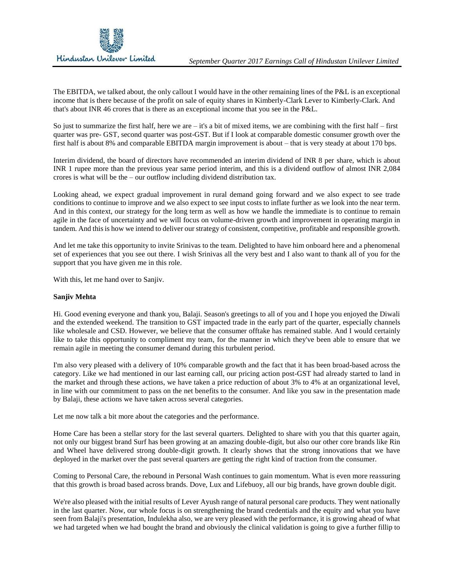

The EBITDA, we talked about, the only callout I would have in the other remaining lines of the P&L is an exceptional income that is there because of the profit on sale of equity shares in Kimberly-Clark Lever to Kimberly-Clark. And that's about INR 46 crores that is there as an exceptional income that you see in the P&L.

So just to summarize the first half, here we are  $-$  it's a bit of mixed items, we are combining with the first half  $-$  first quarter was pre- GST, second quarter was post-GST. But if I look at comparable domestic consumer growth over the first half is about 8% and comparable EBITDA margin improvement is about – that is very steady at about 170 bps.

Interim dividend, the board of directors have recommended an interim dividend of INR 8 per share, which is about INR 1 rupee more than the previous year same period interim, and this is a dividend outflow of almost INR 2,084 crores is what will be the – our outflow including dividend distribution tax.

Looking ahead, we expect gradual improvement in rural demand going forward and we also expect to see trade conditions to continue to improve and we also expect to see input costs to inflate further as we look into the near term. And in this context, our strategy for the long term as well as how we handle the immediate is to continue to remain agile in the face of uncertainty and we will focus on volume-driven growth and improvement in operating margin in tandem. And this is how we intend to deliver our strategy of consistent, competitive, profitable and responsible growth.

And let me take this opportunity to invite Srinivas to the team. Delighted to have him onboard here and a phenomenal set of experiences that you see out there. I wish Srinivas all the very best and I also want to thank all of you for the support that you have given me in this role.

With this, let me hand over to Sanjiv.

## **Sanjiv Mehta**

Hi. Good evening everyone and thank you, Balaji. Season's greetings to all of you and I hope you enjoyed the Diwali and the extended weekend. The transition to GST impacted trade in the early part of the quarter, especially channels like wholesale and CSD. However, we believe that the consumer offtake has remained stable. And I would certainly like to take this opportunity to compliment my team, for the manner in which they've been able to ensure that we remain agile in meeting the consumer demand during this turbulent period.

I'm also very pleased with a delivery of 10% comparable growth and the fact that it has been broad-based across the category. Like we had mentioned in our last earning call, our pricing action post-GST had already started to land in the market and through these actions, we have taken a price reduction of about 3% to 4% at an organizational level, in line with our commitment to pass on the net benefits to the consumer. And like you saw in the presentation made by Balaji, these actions we have taken across several categories.

Let me now talk a bit more about the categories and the performance.

Home Care has been a stellar story for the last several quarters. Delighted to share with you that this quarter again, not only our biggest brand Surf has been growing at an amazing double-digit, but also our other core brands like Rin and Wheel have delivered strong double-digit growth. It clearly shows that the strong innovations that we have deployed in the market over the past several quarters are getting the right kind of traction from the consumer.

Coming to Personal Care, the rebound in Personal Wash continues to gain momentum. What is even more reassuring that this growth is broad based across brands. Dove, Lux and Lifebuoy, all our big brands, have grown double digit.

We're also pleased with the initial results of Lever Ayush range of natural personal care products. They went nationally in the last quarter. Now, our whole focus is on strengthening the brand credentials and the equity and what you have seen from Balaji's presentation, Indulekha also, we are very pleased with the performance, it is growing ahead of what we had targeted when we had bought the brand and obviously the clinical validation is going to give a further fillip to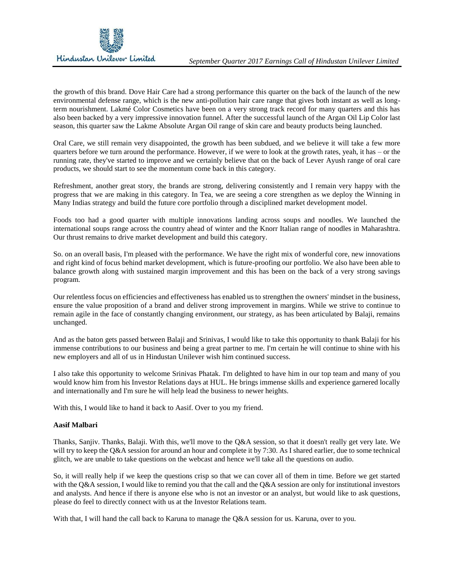the growth of this brand. Dove Hair Care had a strong performance this quarter on the back of the launch of the new environmental defense range, which is the new anti-pollution hair care range that gives both instant as well as longterm nourishment. Lakmé Color Cosmetics have been on a very strong track record for many quarters and this has also been backed by a very impressive innovation funnel. After the successful launch of the Argan Oil Lip Color last season, this quarter saw the Lakme Absolute Argan Oil range of skin care and beauty products being launched.

Oral Care, we still remain very disappointed, the growth has been subdued, and we believe it will take a few more quarters before we turn around the performance. However, if we were to look at the growth rates, yeah, it has – or the running rate, they've started to improve and we certainly believe that on the back of Lever Ayush range of oral care products, we should start to see the momentum come back in this category.

Refreshment, another great story, the brands are strong, delivering consistently and I remain very happy with the progress that we are making in this category. In Tea, we are seeing a core strengthen as we deploy the Winning in Many Indias strategy and build the future core portfolio through a disciplined market development model.

Foods too had a good quarter with multiple innovations landing across soups and noodles. We launched the international soups range across the country ahead of winter and the Knorr Italian range of noodles in Maharashtra. Our thrust remains to drive market development and build this category.

So. on an overall basis, I'm pleased with the performance. We have the right mix of wonderful core, new innovations and right kind of focus behind market development, which is future-proofing our portfolio. We also have been able to balance growth along with sustained margin improvement and this has been on the back of a very strong savings program.

Our relentless focus on efficiencies and effectiveness has enabled us to strengthen the owners' mindset in the business, ensure the value proposition of a brand and deliver strong improvement in margins. While we strive to continue to remain agile in the face of constantly changing environment, our strategy, as has been articulated by Balaji, remains unchanged.

And as the baton gets passed between Balaji and Srinivas, I would like to take this opportunity to thank Balaji for his immense contributions to our business and being a great partner to me. I'm certain he will continue to shine with his new employers and all of us in Hindustan Unilever wish him continued success.

I also take this opportunity to welcome Srinivas Phatak. I'm delighted to have him in our top team and many of you would know him from his Investor Relations days at HUL. He brings immense skills and experience garnered locally and internationally and I'm sure he will help lead the business to newer heights.

With this, I would like to hand it back to Aasif. Over to you my friend.

## **Aasif Malbari**

Thanks, Sanjiv. Thanks, Balaji. With this, we'll move to the Q&A session, so that it doesn't really get very late. We will try to keep the O&A session for around an hour and complete it by 7:30. As I shared earlier, due to some technical glitch, we are unable to take questions on the webcast and hence we'll take all the questions on audio.

So, it will really help if we keep the questions crisp so that we can cover all of them in time. Before we get started with the Q&A session, I would like to remind you that the call and the Q&A session are only for institutional investors and analysts. And hence if there is anyone else who is not an investor or an analyst, but would like to ask questions, please do feel to directly connect with us at the Investor Relations team.

With that, I will hand the call back to Karuna to manage the Q&A session for us. Karuna, over to you.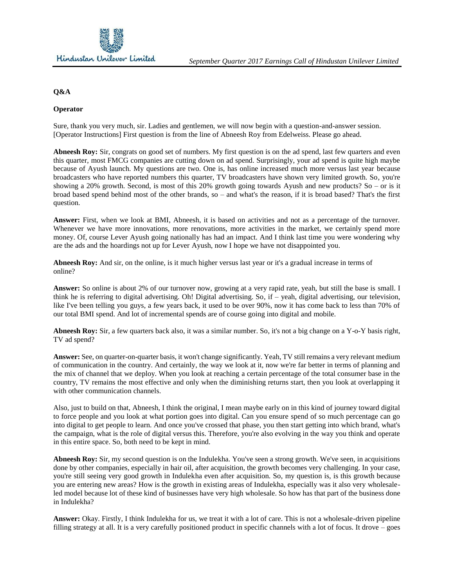

# **Q&A**

## **Operator**

Sure, thank you very much, sir. Ladies and gentlemen, we will now begin with a question-and-answer session. [Operator Instructions] First question is from the line of Abneesh Roy from Edelweiss. Please go ahead.

**Abneesh Roy:** Sir, congrats on good set of numbers. My first question is on the ad spend, last few quarters and even this quarter, most FMCG companies are cutting down on ad spend. Surprisingly, your ad spend is quite high maybe because of Ayush launch. My questions are two. One is, has online increased much more versus last year because broadcasters who have reported numbers this quarter, TV broadcasters have shown very limited growth. So, you're showing a 20% growth. Second, is most of this 20% growth going towards Ayush and new products? So – or is it broad based spend behind most of the other brands, so – and what's the reason, if it is broad based? That's the first question.

**Answer:** First, when we look at BMI, Abneesh, it is based on activities and not as a percentage of the turnover. Whenever we have more innovations, more renovations, more activities in the market, we certainly spend more money. Of, course Lever Ayush going nationally has had an impact. And I think last time you were wondering why are the ads and the hoardings not up for Lever Ayush, now I hope we have not disappointed you.

**Abneesh Roy:** And sir, on the online, is it much higher versus last year or it's a gradual increase in terms of online?

**Answer:** So online is about 2% of our turnover now, growing at a very rapid rate, yeah, but still the base is small. I think he is referring to digital advertising. Oh! Digital advertising. So, if – yeah, digital advertising, our television, like I've been telling you guys, a few years back, it used to be over 90%, now it has come back to less than 70% of our total BMI spend. And lot of incremental spends are of course going into digital and mobile.

**Abneesh Roy:** Sir, a few quarters back also, it was a similar number. So, it's not a big change on a Y-o-Y basis right, TV ad spend?

**Answer:** See, on quarter-on-quarter basis, it won't change significantly. Yeah, TV still remains a very relevant medium of communication in the country. And certainly, the way we look at it, now we're far better in terms of planning and the mix of channel that we deploy. When you look at reaching a certain percentage of the total consumer base in the country, TV remains the most effective and only when the diminishing returns start, then you look at overlapping it with other communication channels.

Also, just to build on that, Abneesh, I think the original, I mean maybe early on in this kind of journey toward digital to force people and you look at what portion goes into digital. Can you ensure spend of so much percentage can go into digital to get people to learn. And once you've crossed that phase, you then start getting into which brand, what's the campaign, what is the role of digital versus this. Therefore, you're also evolving in the way you think and operate in this entire space. So, both need to be kept in mind.

**Abneesh Roy:** Sir, my second question is on the Indulekha. You've seen a strong growth. We've seen, in acquisitions done by other companies, especially in hair oil, after acquisition, the growth becomes very challenging. In your case, you're still seeing very good growth in Indulekha even after acquisition. So, my question is, is this growth because you are entering new areas? How is the growth in existing areas of Indulekha, especially was it also very wholesaleled model because lot of these kind of businesses have very high wholesale. So how has that part of the business done in Indulekha?

**Answer:** Okay. Firstly, I think Indulekha for us, we treat it with a lot of care. This is not a wholesale-driven pipeline filling strategy at all. It is a very carefully positioned product in specific channels with a lot of focus. It drove – goes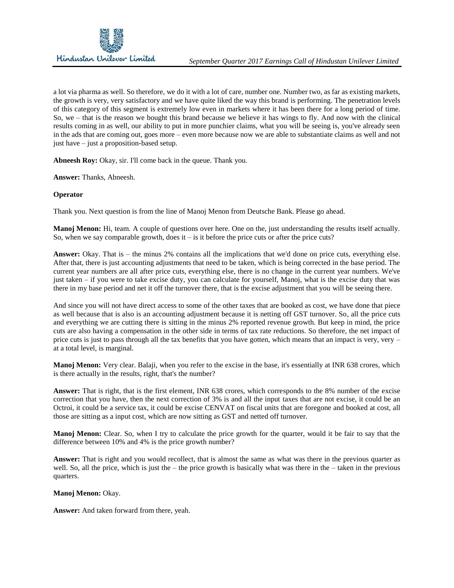

a lot via pharma as well. So therefore, we do it with a lot of care, number one. Number two, as far as existing markets, the growth is very, very satisfactory and we have quite liked the way this brand is performing. The penetration levels of this category of this segment is extremely low even in markets where it has been there for a long period of time. So, we – that is the reason we bought this brand because we believe it has wings to fly. And now with the clinical results coming in as well, our ability to put in more punchier claims, what you will be seeing is, you've already seen in the ads that are coming out, goes more – even more because now we are able to substantiate claims as well and not just have – just a proposition-based setup.

**Abneesh Roy:** Okay, sir. I'll come back in the queue. Thank you.

**Answer:** Thanks, Abneesh.

#### **Operator**

Thank you. Next question is from the line of Manoj Menon from Deutsche Bank. Please go ahead.

**Manoj Menon:** Hi, team. A couple of questions over here. One on the, just understanding the results itself actually. So, when we say comparable growth, does it  $-$  is it before the price cuts or after the price cuts?

**Answer:** Okay. That is – the minus 2% contains all the implications that we'd done on price cuts, everything else. After that, there is just accounting adjustments that need to be taken, which is being corrected in the base period. The current year numbers are all after price cuts, everything else, there is no change in the current year numbers. We've just taken – if you were to take excise duty, you can calculate for yourself, Manoj, what is the excise duty that was there in my base period and net it off the turnover there, that is the excise adjustment that you will be seeing there.

And since you will not have direct access to some of the other taxes that are booked as cost, we have done that piece as well because that is also is an accounting adjustment because it is netting off GST turnover. So, all the price cuts and everything we are cutting there is sitting in the minus 2% reported revenue growth. But keep in mind, the price cuts are also having a compensation in the other side in terms of tax rate reductions. So therefore, the net impact of price cuts is just to pass through all the tax benefits that you have gotten, which means that an impact is very, very – at a total level, is marginal.

**Manoj Menon:** Very clear. Balaji, when you refer to the excise in the base, it's essentially at INR 638 crores, which is there actually in the results, right, that's the number?

**Answer:** That is right, that is the first element, INR 638 crores, which corresponds to the 8% number of the excise correction that you have, then the next correction of 3% is and all the input taxes that are not excise, it could be an Octroi, it could be a service tax, it could be excise CENVAT on fiscal units that are foregone and booked at cost, all those are sitting as a input cost, which are now sitting as GST and netted off turnover.

**Manoj Menon:** Clear. So, when I try to calculate the price growth for the quarter, would it be fair to say that the difference between 10% and 4% is the price growth number?

**Answer:** That is right and you would recollect, that is almost the same as what was there in the previous quarter as well. So, all the price, which is just the – the price growth is basically what was there in the – taken in the previous quarters.

#### **Manoj Menon:** Okay.

**Answer:** And taken forward from there, yeah.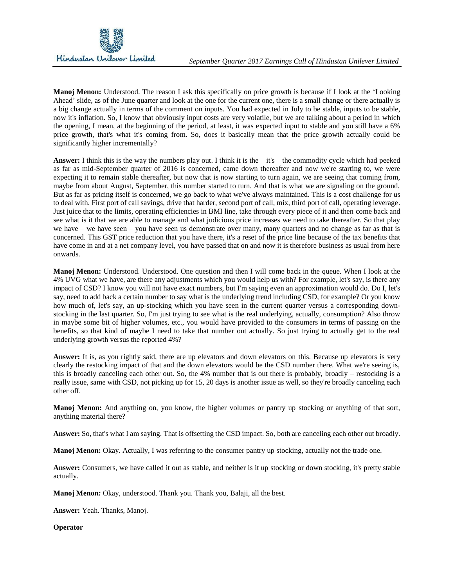

**Manoj Menon:** Understood. The reason I ask this specifically on price growth is because if I look at the 'Looking Ahead' slide, as of the June quarter and look at the one for the current one, there is a small change or there actually is a big change actually in terms of the comment on inputs. You had expected in July to be stable, inputs to be stable, now it's inflation. So, I know that obviously input costs are very volatile, but we are talking about a period in which the opening, I mean, at the beginning of the period, at least, it was expected input to stable and you still have a 6% price growth, that's what it's coming from. So, does it basically mean that the price growth actually could be significantly higher incrementally?

**Answer:** I think this is the way the numbers play out. I think it is the  $-$  it's  $-$  the commodity cycle which had peeked as far as mid-September quarter of 2016 is concerned, came down thereafter and now we're starting to, we were expecting it to remain stable thereafter, but now that is now starting to turn again, we are seeing that coming from, maybe from about August, September, this number started to turn. And that is what we are signaling on the ground. But as far as pricing itself is concerned, we go back to what we've always maintained. This is a cost challenge for us to deal with. First port of call savings, drive that harder, second port of call, mix, third port of call, operating leverage. Just juice that to the limits, operating efficiencies in BMI line, take through every piece of it and then come back and see what is it that we are able to manage and what judicious price increases we need to take thereafter. So that play we have – we have seen – you have seen us demonstrate over many, many quarters and no change as far as that is concerned. This GST price reduction that you have there, it's a reset of the price line because of the tax benefits that have come in and at a net company level, you have passed that on and now it is therefore business as usual from here onwards.

**Manoj Menon:** Understood. Understood. One question and then I will come back in the queue. When I look at the 4% UVG what we have, are there any adjustments which you would help us with? For example, let's say, is there any impact of CSD? I know you will not have exact numbers, but I'm saying even an approximation would do. Do I, let's say, need to add back a certain number to say what is the underlying trend including CSD, for example? Or you know how much of, let's say, an up-stocking which you have seen in the current quarter versus a corresponding downstocking in the last quarter. So, I'm just trying to see what is the real underlying, actually, consumption? Also throw in maybe some bit of higher volumes, etc., you would have provided to the consumers in terms of passing on the benefits, so that kind of maybe I need to take that number out actually. So just trying to actually get to the real underlying growth versus the reported 4%?

**Answer:** It is, as you rightly said, there are up elevators and down elevators on this. Because up elevators is very clearly the restocking impact of that and the down elevators would be the CSD number there. What we're seeing is, this is broadly canceling each other out. So, the 4% number that is out there is probably, broadly – restocking is a really issue, same with CSD, not picking up for 15, 20 days is another issue as well, so they're broadly canceling each other off.

**Manoj Menon:** And anything on, you know, the higher volumes or pantry up stocking or anything of that sort, anything material there?

**Answer:** So, that's what I am saying. That is offsetting the CSD impact. So, both are canceling each other out broadly.

**Manoj Menon:** Okay. Actually, I was referring to the consumer pantry up stocking, actually not the trade one.

**Answer:** Consumers, we have called it out as stable, and neither is it up stocking or down stocking, it's pretty stable actually.

**Manoj Menon:** Okay, understood. Thank you. Thank you, Balaji, all the best.

**Answer:** Yeah. Thanks, Manoj.

**Operator**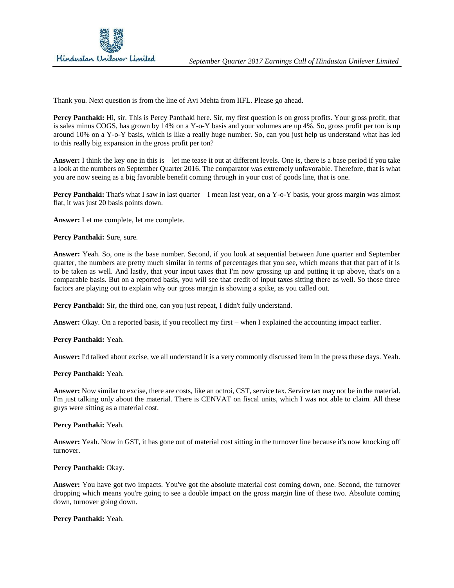Thank you. Next question is from the line of Avi Mehta from IIFL. Please go ahead.

**Percy Panthaki:** Hi, sir. This is Percy Panthaki here. Sir, my first question is on gross profits. Your gross profit, that is sales minus COGS, has grown by 14% on a Y-o-Y basis and your volumes are up 4%. So, gross profit per ton is up around 10% on a Y-o-Y basis, which is like a really huge number. So, can you just help us understand what has led to this really big expansion in the gross profit per ton?

**Answer:** I think the key one in this is – let me tease it out at different levels. One is, there is a base period if you take a look at the numbers on September Quarter 2016. The comparator was extremely unfavorable. Therefore, that is what you are now seeing as a big favorable benefit coming through in your cost of goods line, that is one.

**Percy Panthaki:** That's what I saw in last quarter – I mean last year, on a Y-o-Y basis, your gross margin was almost flat, it was just 20 basis points down.

**Answer:** Let me complete, let me complete.

Percy Panthaki: Sure, sure.

**Answer:** Yeah. So, one is the base number. Second, if you look at sequential between June quarter and September quarter, the numbers are pretty much similar in terms of percentages that you see, which means that that part of it is to be taken as well. And lastly, that your input taxes that I'm now grossing up and putting it up above, that's on a comparable basis. But on a reported basis, you will see that credit of input taxes sitting there as well. So those three factors are playing out to explain why our gross margin is showing a spike, as you called out.

Percy Panthaki: Sir, the third one, can you just repeat, I didn't fully understand.

**Answer:** Okay. On a reported basis, if you recollect my first – when I explained the accounting impact earlier.

**Percy Panthaki:** Yeah.

**Answer:** I'd talked about excise, we all understand it is a very commonly discussed item in the press these days. Yeah.

**Percy Panthaki:** Yeah.

**Answer:** Now similar to excise, there are costs, like an octroi, CST, service tax. Service tax may not be in the material. I'm just talking only about the material. There is CENVAT on fiscal units, which I was not able to claim. All these guys were sitting as a material cost.

## **Percy Panthaki:** Yeah.

**Answer:** Yeah. Now in GST, it has gone out of material cost sitting in the turnover line because it's now knocking off turnover.

Percy Panthaki: Okay.

**Answer:** You have got two impacts. You've got the absolute material cost coming down, one. Second, the turnover dropping which means you're going to see a double impact on the gross margin line of these two. Absolute coming down, turnover going down.

**Percy Panthaki:** Yeah.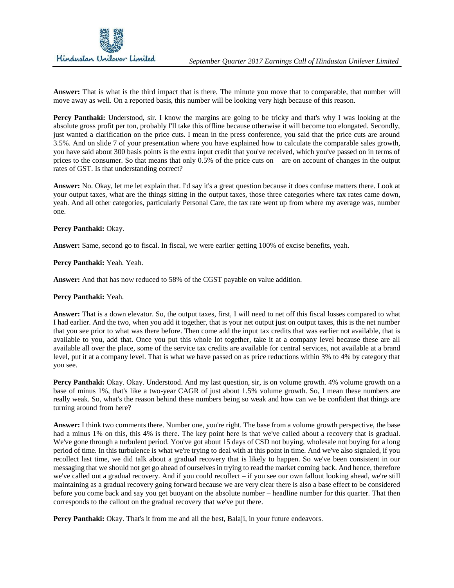

**Answer:** That is what is the third impact that is there. The minute you move that to comparable, that number will move away as well. On a reported basis, this number will be looking very high because of this reason.

**Percy Panthaki:** Understood, sir. I know the margins are going to be tricky and that's why I was looking at the absolute gross profit per ton, probably I'll take this offline because otherwise it will become too elongated. Secondly, just wanted a clarification on the price cuts. I mean in the press conference, you said that the price cuts are around 3.5%. And on slide 7 of your presentation where you have explained how to calculate the comparable sales growth, you have said about 300 basis points is the extra input credit that you've received, which you've passed on in terms of prices to the consumer. So that means that only 0.5% of the price cuts on – are on account of changes in the output rates of GST. Is that understanding correct?

**Answer:** No. Okay, let me let explain that. I'd say it's a great question because it does confuse matters there. Look at your output taxes, what are the things sitting in the output taxes, those three categories where tax rates came down, yeah. And all other categories, particularly Personal Care, the tax rate went up from where my average was, number one.

# Percy Panthaki: Okay.

**Answer:** Same, second go to fiscal. In fiscal, we were earlier getting 100% of excise benefits, yeah.

**Percy Panthaki:** Yeah. Yeah.

**Answer:** And that has now reduced to 58% of the CGST payable on value addition.

### **Percy Panthaki:** Yeah.

**Answer:** That is a down elevator. So, the output taxes, first, I will need to net off this fiscal losses compared to what I had earlier. And the two, when you add it together, that is your net output just on output taxes, this is the net number that you see prior to what was there before. Then come add the input tax credits that was earlier not available, that is available to you, add that. Once you put this whole lot together, take it at a company level because these are all available all over the place, some of the service tax credits are available for central services, not available at a brand level, put it at a company level. That is what we have passed on as price reductions within 3% to 4% by category that you see.

**Percy Panthaki:** Okay. Okay. Understood. And my last question, sir, is on volume growth. 4% volume growth on a base of minus 1%, that's like a two-year CAGR of just about 1.5% volume growth. So, I mean these numbers are really weak. So, what's the reason behind these numbers being so weak and how can we be confident that things are turning around from here?

**Answer:** I think two comments there. Number one, you're right. The base from a volume growth perspective, the base had a minus 1% on this, this 4% is there. The key point here is that we've called about a recovery that is gradual. We've gone through a turbulent period. You've got about 15 days of CSD not buying, wholesale not buying for a long period of time. In this turbulence is what we're trying to deal with at this point in time. And we've also signaled, if you recollect last time, we did talk about a gradual recovery that is likely to happen. So we've been consistent in our messaging that we should not get go ahead of ourselves in trying to read the market coming back. And hence, therefore we've called out a gradual recovery. And if you could recollect – if you see our own fallout looking ahead, we're still maintaining as a gradual recovery going forward because we are very clear there is also a base effect to be considered before you come back and say you get buoyant on the absolute number – headline number for this quarter. That then corresponds to the callout on the gradual recovery that we've put there.

Percy Panthaki: Okay. That's it from me and all the best, Balaji, in your future endeavors.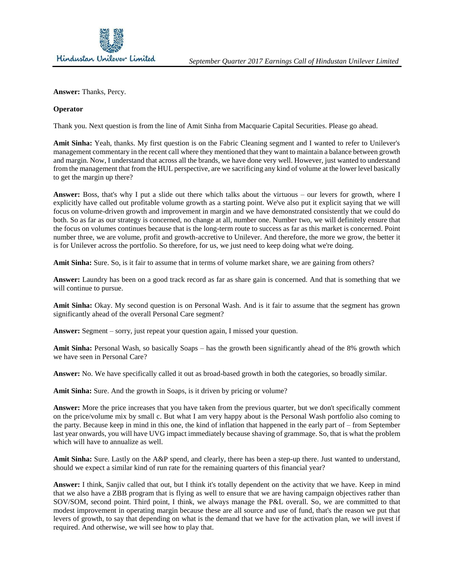

**Answer:** Thanks, Percy.

## **Operator**

Thank you. Next question is from the line of Amit Sinha from Macquarie Capital Securities. Please go ahead.

**Amit Sinha:** Yeah, thanks. My first question is on the Fabric Cleaning segment and I wanted to refer to Unilever's management commentary in the recent call where they mentioned that they want to maintain a balance between growth and margin. Now, I understand that across all the brands, we have done very well. However, just wanted to understand from the management that from the HUL perspective, are we sacrificing any kind of volume at the lower level basically to get the margin up there?

**Answer:** Boss, that's why I put a slide out there which talks about the virtuous – our levers for growth, where I explicitly have called out profitable volume growth as a starting point. We've also put it explicit saying that we will focus on volume-driven growth and improvement in margin and we have demonstrated consistently that we could do both. So as far as our strategy is concerned, no change at all, number one. Number two, we will definitely ensure that the focus on volumes continues because that is the long-term route to success as far as this market is concerned. Point number three, we are volume, profit and growth-accretive to Unilever. And therefore, the more we grow, the better it is for Unilever across the portfolio. So therefore, for us, we just need to keep doing what we're doing.

**Amit Sinha:** Sure. So, is it fair to assume that in terms of volume market share, we are gaining from others?

**Answer:** Laundry has been on a good track record as far as share gain is concerned. And that is something that we will continue to pursue.

**Amit Sinha:** Okay. My second question is on Personal Wash. And is it fair to assume that the segment has grown significantly ahead of the overall Personal Care segment?

**Answer:** Segment – sorry, just repeat your question again, I missed your question.

**Amit Sinha:** Personal Wash, so basically Soaps – has the growth been significantly ahead of the 8% growth which we have seen in Personal Care?

**Answer:** No. We have specifically called it out as broad-based growth in both the categories, so broadly similar.

**Amit Sinha:** Sure. And the growth in Soaps, is it driven by pricing or volume?

**Answer:** More the price increases that you have taken from the previous quarter, but we don't specifically comment on the price/volume mix by small c. But what I am very happy about is the Personal Wash portfolio also coming to the party. Because keep in mind in this one, the kind of inflation that happened in the early part of – from September last year onwards, you will have UVG impact immediately because shaving of grammage. So, that is what the problem which will have to annualize as well.

**Amit Sinha:** Sure. Lastly on the A&P spend, and clearly, there has been a step-up there. Just wanted to understand, should we expect a similar kind of run rate for the remaining quarters of this financial year?

**Answer:** I think, Sanjiv called that out, but I think it's totally dependent on the activity that we have. Keep in mind that we also have a ZBB program that is flying as well to ensure that we are having campaign objectives rather than SOV/SOM, second point. Third point, I think, we always manage the P&L overall. So, we are committed to that modest improvement in operating margin because these are all source and use of fund, that's the reason we put that levers of growth, to say that depending on what is the demand that we have for the activation plan, we will invest if required. And otherwise, we will see how to play that.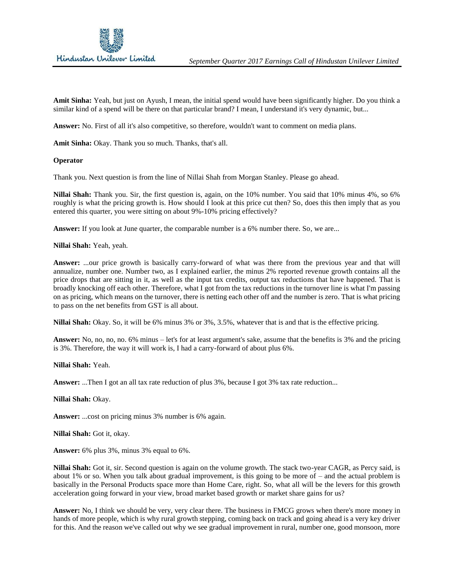

**Amit Sinha:** Yeah, but just on Ayush, I mean, the initial spend would have been significantly higher. Do you think a similar kind of a spend will be there on that particular brand? I mean, I understand it's very dynamic, but...

**Answer:** No. First of all it's also competitive, so therefore, wouldn't want to comment on media plans.

Amit Sinha: Okay. Thank you so much. Thanks, that's all.

#### **Operator**

Thank you. Next question is from the line of Nillai Shah from Morgan Stanley. Please go ahead.

**Nillai Shah:** Thank you. Sir, the first question is, again, on the 10% number. You said that 10% minus 4%, so 6% roughly is what the pricing growth is. How should I look at this price cut then? So, does this then imply that as you entered this quarter, you were sitting on about 9%-10% pricing effectively?

**Answer:** If you look at June quarter, the comparable number is a 6% number there. So, we are...

**Nillai Shah:** Yeah, yeah.

**Answer:** ...our price growth is basically carry-forward of what was there from the previous year and that will annualize, number one. Number two, as I explained earlier, the minus 2% reported revenue growth contains all the price drops that are sitting in it, as well as the input tax credits, output tax reductions that have happened. That is broadly knocking off each other. Therefore, what I got from the tax reductions in the turnover line is what I'm passing on as pricing, which means on the turnover, there is netting each other off and the number is zero. That is what pricing to pass on the net benefits from GST is all about.

**Nillai Shah:** Okay. So, it will be 6% minus 3% or 3%, 3.5%, whatever that is and that is the effective pricing.

**Answer:** No, no, no, no. 6% minus – let's for at least argument's sake, assume that the benefits is 3% and the pricing is 3%. Therefore, the way it will work is, I had a carry-forward of about plus 6%.

**Nillai Shah:** Yeah.

**Answer:** ...Then I got an all tax rate reduction of plus 3%, because I got 3% tax rate reduction...

**Nillai Shah:** Okay.

**Answer:** ...cost on pricing minus 3% number is 6% again.

**Nillai Shah:** Got it, okay.

**Answer:** 6% plus 3%, minus 3% equal to 6%.

**Nillai Shah:** Got it, sir. Second question is again on the volume growth. The stack two-year CAGR, as Percy said, is about 1% or so. When you talk about gradual improvement, is this going to be more of – and the actual problem is basically in the Personal Products space more than Home Care, right. So, what all will be the levers for this growth acceleration going forward in your view, broad market based growth or market share gains for us?

**Answer:** No, I think we should be very, very clear there. The business in FMCG grows when there's more money in hands of more people, which is why rural growth stepping, coming back on track and going ahead is a very key driver for this. And the reason we've called out why we see gradual improvement in rural, number one, good monsoon, more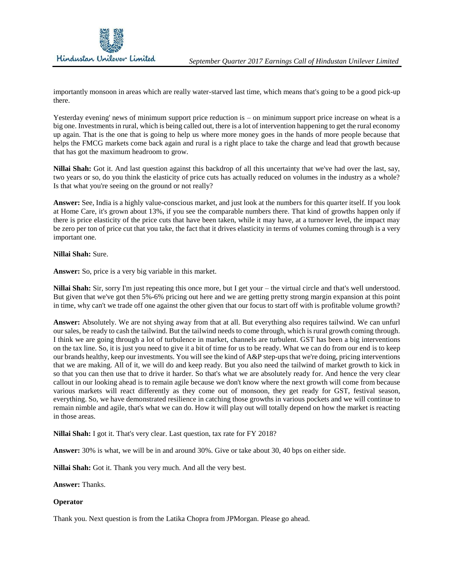

importantly monsoon in areas which are really water-starved last time, which means that's going to be a good pick-up there.

Yesterday evening' news of minimum support price reduction is – on minimum support price increase on wheat is a big one. Investments in rural, which is being called out, there is a lot of intervention happening to get the rural economy up again. That is the one that is going to help us where more money goes in the hands of more people because that helps the FMCG markets come back again and rural is a right place to take the charge and lead that growth because that has got the maximum headroom to grow.

**Nillai Shah:** Got it. And last question against this backdrop of all this uncertainty that we've had over the last, say, two years or so, do you think the elasticity of price cuts has actually reduced on volumes in the industry as a whole? Is that what you're seeing on the ground or not really?

**Answer:** See, India is a highly value-conscious market, and just look at the numbers for this quarter itself. If you look at Home Care, it's grown about 13%, if you see the comparable numbers there. That kind of growths happen only if there is price elasticity of the price cuts that have been taken, while it may have, at a turnover level, the impact may be zero per ton of price cut that you take, the fact that it drives elasticity in terms of volumes coming through is a very important one.

## **Nillai Shah:** Sure.

**Answer:** So, price is a very big variable in this market.

**Nillai Shah:** Sir, sorry I'm just repeating this once more, but I get your – the virtual circle and that's well understood. But given that we've got then 5%-6% pricing out here and we are getting pretty strong margin expansion at this point in time, why can't we trade off one against the other given that our focus to start off with is profitable volume growth?

**Answer:** Absolutely. We are not shying away from that at all. But everything also requires tailwind. We can unfurl our sales, be ready to cash the tailwind. But the tailwind needs to come through, which is rural growth coming through. I think we are going through a lot of turbulence in market, channels are turbulent. GST has been a big interventions on the tax line. So, it is just you need to give it a bit of time for us to be ready. What we can do from our end is to keep our brands healthy, keep our investments. You will see the kind of A&P step-ups that we're doing, pricing interventions that we are making. All of it, we will do and keep ready. But you also need the tailwind of market growth to kick in so that you can then use that to drive it harder. So that's what we are absolutely ready for. And hence the very clear callout in our looking ahead is to remain agile because we don't know where the next growth will come from because various markets will react differently as they come out of monsoon, they get ready for GST, festival season, everything. So, we have demonstrated resilience in catching those growths in various pockets and we will continue to remain nimble and agile, that's what we can do. How it will play out will totally depend on how the market is reacting in those areas.

**Nillai Shah:** I got it. That's very clear. Last question, tax rate for FY 2018?

**Answer:** 30% is what, we will be in and around 30%. Give or take about 30, 40 bps on either side.

**Nillai Shah:** Got it. Thank you very much. And all the very best.

**Answer:** Thanks.

# **Operator**

Thank you. Next question is from the Latika Chopra from JPMorgan. Please go ahead.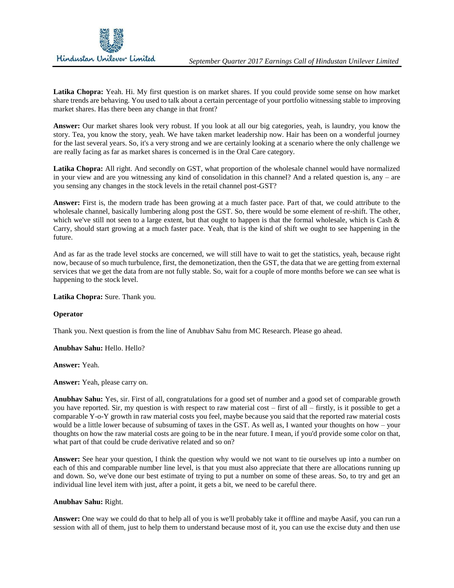**Latika Chopra:** Yeah. Hi. My first question is on market shares. If you could provide some sense on how market share trends are behaving. You used to talk about a certain percentage of your portfolio witnessing stable to improving market shares. Has there been any change in that front?

**Answer:** Our market shares look very robust. If you look at all our big categories, yeah, is laundry, you know the story. Tea, you know the story, yeah. We have taken market leadership now. Hair has been on a wonderful journey for the last several years. So, it's a very strong and we are certainly looking at a scenario where the only challenge we are really facing as far as market shares is concerned is in the Oral Care category.

**Latika Chopra:** All right. And secondly on GST, what proportion of the wholesale channel would have normalized in your view and are you witnessing any kind of consolidation in this channel? And a related question is, any – are you sensing any changes in the stock levels in the retail channel post-GST?

**Answer:** First is, the modern trade has been growing at a much faster pace. Part of that, we could attribute to the wholesale channel, basically lumbering along post the GST. So, there would be some element of re-shift. The other, which we've still not seen to a large extent, but that ought to happen is that the formal wholesale, which is Cash & Carry, should start growing at a much faster pace. Yeah, that is the kind of shift we ought to see happening in the future.

And as far as the trade level stocks are concerned, we will still have to wait to get the statistics, yeah, because right now, because of so much turbulence, first, the demonetization, then the GST, the data that we are getting from external services that we get the data from are not fully stable. So, wait for a couple of more months before we can see what is happening to the stock level.

**Latika Chopra:** Sure. Thank you.

## **Operator**

Thank you. Next question is from the line of Anubhav Sahu from MC Research. Please go ahead.

**Anubhav Sahu:** Hello. Hello?

**Answer:** Yeah.

**Answer:** Yeah, please carry on.

**Anubhav Sahu:** Yes, sir. First of all, congratulations for a good set of number and a good set of comparable growth you have reported. Sir, my question is with respect to raw material cost – first of all – firstly, is it possible to get a comparable Y-o-Y growth in raw material costs you feel, maybe because you said that the reported raw material costs would be a little lower because of subsuming of taxes in the GST. As well as, I wanted your thoughts on how – your thoughts on how the raw material costs are going to be in the near future. I mean, if you'd provide some color on that, what part of that could be crude derivative related and so on?

**Answer:** See hear your question, I think the question why would we not want to tie ourselves up into a number on each of this and comparable number line level, is that you must also appreciate that there are allocations running up and down. So, we've done our best estimate of trying to put a number on some of these areas. So, to try and get an individual line level item with just, after a point, it gets a bit, we need to be careful there.

#### **Anubhav Sahu:** Right.

**Answer:** One way we could do that to help all of you is we'll probably take it offline and maybe Aasif, you can run a session with all of them, just to help them to understand because most of it, you can use the excise duty and then use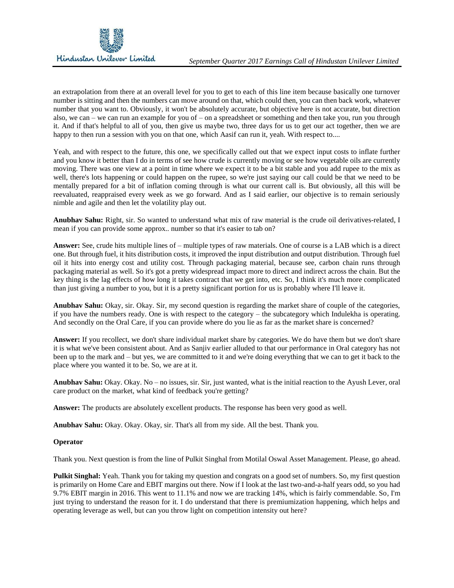an extrapolation from there at an overall level for you to get to each of this line item because basically one turnover number is sitting and then the numbers can move around on that, which could then, you can then back work, whatever number that you want to. Obviously, it won't be absolutely accurate, but objective here is not accurate, but direction also, we can – we can run an example for you of – on a spreadsheet or something and then take you, run you through it. And if that's helpful to all of you, then give us maybe two, three days for us to get our act together, then we are happy to then run a session with you on that one, which Aasif can run it, yeah. With respect to....

Yeah, and with respect to the future, this one, we specifically called out that we expect input costs to inflate further and you know it better than I do in terms of see how crude is currently moving or see how vegetable oils are currently moving. There was one view at a point in time where we expect it to be a bit stable and you add rupee to the mix as well, there's lots happening or could happen on the rupee, so we're just saying our call could be that we need to be mentally prepared for a bit of inflation coming through is what our current call is. But obviously, all this will be reevaluated, reappraised every week as we go forward. And as I said earlier, our objective is to remain seriously nimble and agile and then let the volatility play out.

**Anubhav Sahu:** Right, sir. So wanted to understand what mix of raw material is the crude oil derivatives-related, I mean if you can provide some approx.. number so that it's easier to tab on?

**Answer:** See, crude hits multiple lines of – multiple types of raw materials. One of course is a LAB which is a direct one. But through fuel, it hits distribution costs, it improved the input distribution and output distribution. Through fuel oil it hits into energy cost and utility cost. Through packaging material, because see, carbon chain runs through packaging material as well. So it's got a pretty widespread impact more to direct and indirect across the chain. But the key thing is the lag effects of how long it takes contract that we get into, etc. So, I think it's much more complicated than just giving a number to you, but it is a pretty significant portion for us is probably where I'll leave it.

**Anubhav Sahu:** Okay, sir. Okay. Sir, my second question is regarding the market share of couple of the categories, if you have the numbers ready. One is with respect to the category – the subcategory which Indulekha is operating. And secondly on the Oral Care, if you can provide where do you lie as far as the market share is concerned?

**Answer:** If you recollect, we don't share individual market share by categories. We do have them but we don't share it is what we've been consistent about. And as Sanjiv earlier alluded to that our performance in Oral category has not been up to the mark and – but yes, we are committed to it and we're doing everything that we can to get it back to the place where you wanted it to be. So, we are at it.

**Anubhav Sahu:** Okay. Okay. No – no issues, sir. Sir, just wanted, what is the initial reaction to the Ayush Lever, oral care product on the market, what kind of feedback you're getting?

**Answer:** The products are absolutely excellent products. The response has been very good as well.

**Anubhav Sahu:** Okay. Okay. Okay, sir. That's all from my side. All the best. Thank you.

## **Operator**

Thank you. Next question is from the line of Pulkit Singhal from Motilal Oswal Asset Management. Please, go ahead.

**Pulkit Singhal:** Yeah. Thank you for taking my question and congrats on a good set of numbers. So, my first question is primarily on Home Care and EBIT margins out there. Now if I look at the last two-and-a-half years odd, so you had 9.7% EBIT margin in 2016. This went to 11.1% and now we are tracking 14%, which is fairly commendable. So, I'm just trying to understand the reason for it. I do understand that there is premiumization happening, which helps and operating leverage as well, but can you throw light on competition intensity out here?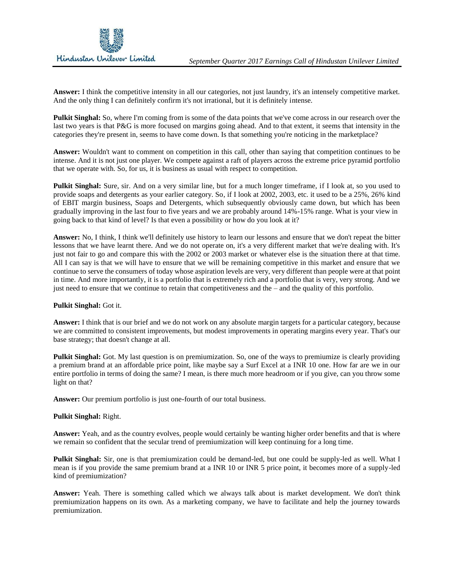

**Answer:** I think the competitive intensity in all our categories, not just laundry, it's an intensely competitive market. And the only thing I can definitely confirm it's not irrational, but it is definitely intense.

**Pulkit Singhal:** So, where I'm coming from is some of the data points that we've come across in our research over the last two years is that P&G is more focused on margins going ahead. And to that extent, it seems that intensity in the categories they're present in, seems to have come down. Is that something you're noticing in the marketplace?

**Answer:** Wouldn't want to comment on competition in this call, other than saying that competition continues to be intense. And it is not just one player. We compete against a raft of players across the extreme price pyramid portfolio that we operate with. So, for us, it is business as usual with respect to competition.

**Pulkit Singhal:** Sure, sir. And on a very similar line, but for a much longer timeframe, if I look at, so you used to provide soaps and detergents as your earlier category. So, if I look at 2002, 2003, etc. it used to be a 25%, 26% kind of EBIT margin business, Soaps and Detergents, which subsequently obviously came down, but which has been gradually improving in the last four to five years and we are probably around 14%-15% range. What is your view in going back to that kind of level? Is that even a possibility or how do you look at it?

**Answer:** No, I think, I think we'll definitely use history to learn our lessons and ensure that we don't repeat the bitter lessons that we have learnt there. And we do not operate on, it's a very different market that we're dealing with. It's just not fair to go and compare this with the 2002 or 2003 market or whatever else is the situation there at that time. All I can say is that we will have to ensure that we will be remaining competitive in this market and ensure that we continue to serve the consumers of today whose aspiration levels are very, very different than people were at that point in time. And more importantly, it is a portfolio that is extremely rich and a portfolio that is very, very strong. And we just need to ensure that we continue to retain that competitiveness and the – and the quality of this portfolio.

## **Pulkit Singhal:** Got it.

**Answer:** I think that is our brief and we do not work on any absolute margin targets for a particular category, because we are committed to consistent improvements, but modest improvements in operating margins every year. That's our base strategy; that doesn't change at all.

**Pulkit Singhal:** Got. My last question is on premiumization. So, one of the ways to premiumize is clearly providing a premium brand at an affordable price point, like maybe say a Surf Excel at a INR 10 one. How far are we in our entire portfolio in terms of doing the same? I mean, is there much more headroom or if you give, can you throw some light on that?

**Answer:** Our premium portfolio is just one-fourth of our total business.

## **Pulkit Singhal:** Right.

**Answer:** Yeah, and as the country evolves, people would certainly be wanting higher order benefits and that is where we remain so confident that the secular trend of premiumization will keep continuing for a long time.

**Pulkit Singhal:** Sir, one is that premiumization could be demand-led, but one could be supply-led as well. What I mean is if you provide the same premium brand at a INR 10 or INR 5 price point, it becomes more of a supply-led kind of premiumization?

**Answer:** Yeah. There is something called which we always talk about is market development. We don't think premiumization happens on its own. As a marketing company, we have to facilitate and help the journey towards premiumization.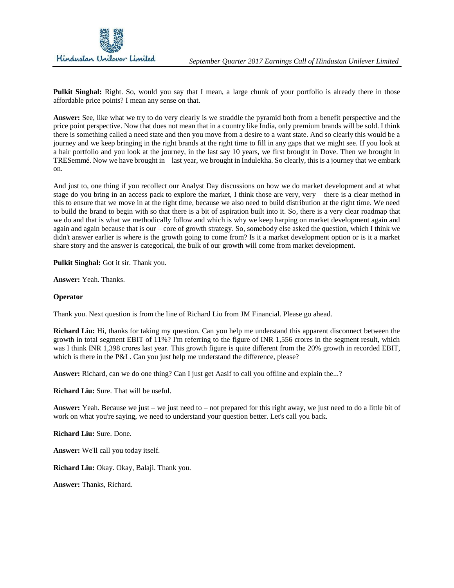

**Pulkit Singhal:** Right. So, would you say that I mean, a large chunk of your portfolio is already there in those affordable price points? I mean any sense on that.

**Answer:** See, like what we try to do very clearly is we straddle the pyramid both from a benefit perspective and the price point perspective. Now that does not mean that in a country like India, only premium brands will be sold. I think there is something called a need state and then you move from a desire to a want state. And so clearly this would be a journey and we keep bringing in the right brands at the right time to fill in any gaps that we might see. If you look at a hair portfolio and you look at the journey, in the last say 10 years, we first brought in Dove. Then we brought in TRESemmé. Now we have brought in – last year, we brought in Indulekha. So clearly, this is a journey that we embark on.

And just to, one thing if you recollect our Analyst Day discussions on how we do market development and at what stage do you bring in an access pack to explore the market, I think those are very, very – there is a clear method in this to ensure that we move in at the right time, because we also need to build distribution at the right time. We need to build the brand to begin with so that there is a bit of aspiration built into it. So, there is a very clear roadmap that we do and that is what we methodically follow and which is why we keep harping on market development again and again and again because that is our – core of growth strategy. So, somebody else asked the question, which I think we didn't answer earlier is where is the growth going to come from? Is it a market development option or is it a market share story and the answer is categorical, the bulk of our growth will come from market development.

**Pulkit Singhal:** Got it sir. Thank you.

**Answer:** Yeah. Thanks.

## **Operator**

Thank you. Next question is from the line of Richard Liu from JM Financial. Please go ahead.

**Richard Liu:** Hi, thanks for taking my question. Can you help me understand this apparent disconnect between the growth in total segment EBIT of 11%? I'm referring to the figure of INR 1,556 crores in the segment result, which was I think INR 1,398 crores last year. This growth figure is quite different from the 20% growth in recorded EBIT, which is there in the P&L. Can you just help me understand the difference, please?

**Answer:** Richard, can we do one thing? Can I just get Aasif to call you offline and explain the...?

**Richard Liu:** Sure. That will be useful.

**Answer:** Yeah. Because we just – we just need to – not prepared for this right away, we just need to do a little bit of work on what you're saying, we need to understand your question better. Let's call you back.

**Richard Liu:** Sure. Done.

**Answer:** We'll call you today itself.

**Richard Liu:** Okay. Okay, Balaji. Thank you.

**Answer:** Thanks, Richard.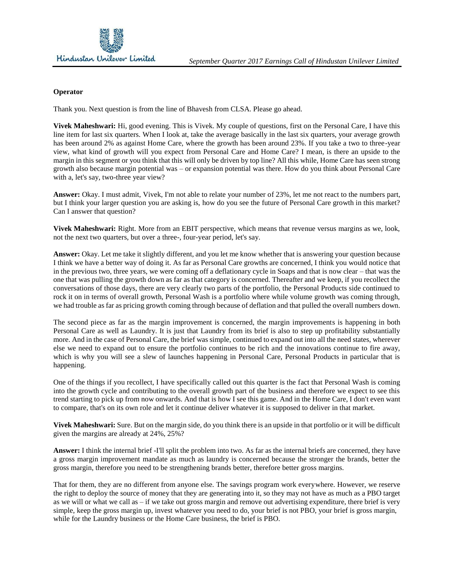

#### **Operator**

Thank you. Next question is from the line of Bhavesh from CLSA. Please go ahead.

**Vivek Maheshwari:** Hi, good evening. This is Vivek. My couple of questions, first on the Personal Care, I have this line item for last six quarters. When I look at, take the average basically in the last six quarters, your average growth has been around 2% as against Home Care, where the growth has been around 23%. If you take a two to three-year view, what kind of growth will you expect from Personal Care and Home Care? I mean, is there an upside to the margin in this segment or you think that this will only be driven by top line? All this while, Home Care has seen strong growth also because margin potential was – or expansion potential was there. How do you think about Personal Care with a, let's say, two-three year view?

**Answer:** Okay. I must admit, Vivek, I'm not able to relate your number of 23%, let me not react to the numbers part, but I think your larger question you are asking is, how do you see the future of Personal Care growth in this market? Can I answer that question?

**Vivek Maheshwari:** Right. More from an EBIT perspective, which means that revenue versus margins as we, look, not the next two quarters, but over a three-, four-year period, let's say.

**Answer:** Okay. Let me take it slightly different, and you let me know whether that is answering your question because I think we have a better way of doing it. As far as Personal Care growths are concerned, I think you would notice that in the previous two, three years, we were coming off a deflationary cycle in Soaps and that is now clear – that was the one that was pulling the growth down as far as that category is concerned. Thereafter and we keep, if you recollect the conversations of those days, there are very clearly two parts of the portfolio, the Personal Products side continued to rock it on in terms of overall growth, Personal Wash is a portfolio where while volume growth was coming through, we had trouble as far as pricing growth coming through because of deflation and that pulled the overall numbers down.

The second piece as far as the margin improvement is concerned, the margin improvements is happening in both Personal Care as well as Laundry. It is just that Laundry from its brief is also to step up profitability substantially more. And in the case of Personal Care, the brief was simple, continued to expand out into all the need states, wherever else we need to expand out to ensure the portfolio continues to be rich and the innovations continue to fire away, which is why you will see a slew of launches happening in Personal Care, Personal Products in particular that is happening.

One of the things if you recollect, I have specifically called out this quarter is the fact that Personal Wash is coming into the growth cycle and contributing to the overall growth part of the business and therefore we expect to see this trend starting to pick up from now onwards. And that is how I see this game. And in the Home Care, I don't even want to compare, that's on its own role and let it continue deliver whatever it is supposed to deliver in that market.

**Vivek Maheshwari:** Sure. But on the margin side, do you think there is an upside in that portfolio or it will be difficult given the margins are already at 24%, 25%?

**Answer:** I think the internal brief -I'll split the problem into two. As far as the internal briefs are concerned, they have a gross margin improvement mandate as much as laundry is concerned because the stronger the brands, better the gross margin, therefore you need to be strengthening brands better, therefore better gross margins.

That for them, they are no different from anyone else. The savings program work everywhere. However, we reserve the right to deploy the source of money that they are generating into it, so they may not have as much as a PBO target as we will or what we call as – if we take out gross margin and remove out advertising expenditure, there brief is very simple, keep the gross margin up, invest whatever you need to do, your brief is not PBO, your brief is gross margin, while for the Laundry business or the Home Care business, the brief is PBO.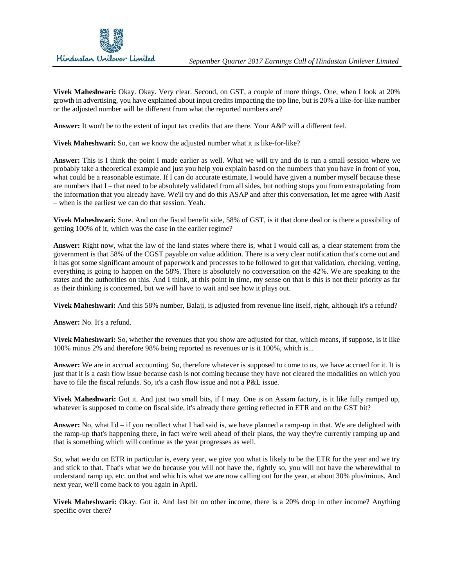

**Vivek Maheshwari:** Okay. Okay. Very clear. Second, on GST, a couple of more things. One, when I look at 20% growth in advertising, you have explained about input credits impacting the top line, but is 20% a like-for-like number or the adjusted number will be different from what the reported numbers are?

**Answer:** It won't be to the extent of input tax credits that are there. Your A&P will a different feel.

**Vivek Maheshwari:** So, can we know the adjusted number what it is like-for-like?

**Answer:** This is I think the point I made earlier as well. What we will try and do is run a small session where we probably take a theoretical example and just you help you explain based on the numbers that you have in front of you, what could be a reasonable estimate. If I can do accurate estimate, I would have given a number myself because these are numbers that I – that need to be absolutely validated from all sides, but nothing stops you from extrapolating from the information that you already have. We'll try and do this ASAP and after this conversation, let me agree with Aasif – when is the earliest we can do that session. Yeah.

**Vivek Maheshwari:** Sure. And on the fiscal benefit side, 58% of GST, is it that done deal or is there a possibility of getting 100% of it, which was the case in the earlier regime?

**Answer:** Right now, what the law of the land states where there is, what I would call as, a clear statement from the government is that 58% of the CGST payable on value addition. There is a very clear notification that's come out and it has got some significant amount of paperwork and processes to be followed to get that validation, checking, vetting, everything is going to happen on the 58%. There is absolutely no conversation on the 42%. We are speaking to the states and the authorities on this. And I think, at this point in time, my sense on that is this is not their priority as far as their thinking is concerned, but we will have to wait and see how it plays out.

**Vivek Maheshwari:** And this 58% number, Balaji, is adjusted from revenue line itself, right, although it's a refund?

**Answer:** No. It's a refund.

**Vivek Maheshwari:** So, whether the revenues that you show are adjusted for that, which means, if suppose, is it like 100% minus 2% and therefore 98% being reported as revenues or is it 100%, which is...

**Answer:** We are in accrual accounting. So, therefore whatever is supposed to come to us, we have accrued for it. It is just that it is a cash flow issue because cash is not coming because they have not cleared the modalities on which you have to file the fiscal refunds. So, it's a cash flow issue and not a P&L issue.

**Vivek Maheshwari:** Got it. And just two small bits, if I may. One is on Assam factory, is it like fully ramped up, whatever is supposed to come on fiscal side, it's already there getting reflected in ETR and on the GST bit?

**Answer:** No, what I'd – if you recollect what I had said is, we have planned a ramp-up in that. We are delighted with the ramp-up that's happening there, in fact we're well ahead of their plans, the way they're currently ramping up and that is something which will continue as the year progresses as well.

So, what we do on ETR in particular is, every year, we give you what is likely to be the ETR for the year and we try and stick to that. That's what we do because you will not have the, rightly so, you will not have the wherewithal to understand ramp up, etc. on that and which is what we are now calling out for the year, at about 30% plus/minus. And next year, we'll come back to you again in April.

**Vivek Maheshwari:** Okay. Got it. And last bit on other income, there is a 20% drop in other income? Anything specific over there?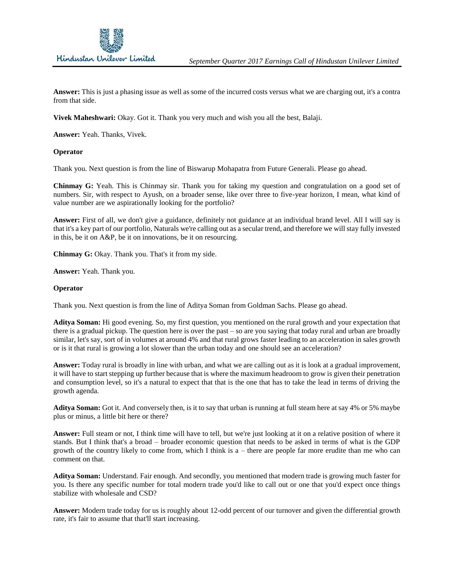

**Answer:** This is just a phasing issue as well as some of the incurred costs versus what we are charging out, it's a contra from that side.

**Vivek Maheshwari:** Okay. Got it. Thank you very much and wish you all the best, Balaji.

**Answer:** Yeah. Thanks, Vivek.

#### **Operator**

Thank you. Next question is from the line of Biswarup Mohapatra from Future Generali. Please go ahead.

**Chinmay G:** Yeah. This is Chinmay sir. Thank you for taking my question and congratulation on a good set of numbers. Sir, with respect to Ayush, on a broader sense, like over three to five-year horizon, I mean, what kind of value number are we aspirationally looking for the portfolio?

**Answer:** First of all, we don't give a guidance, definitely not guidance at an individual brand level. All I will say is that it's a key part of our portfolio, Naturals we're calling out as a secular trend, and therefore we will stay fully invested in this, be it on A&P, be it on innovations, be it on resourcing.

**Chinmay G:** Okay. Thank you. That's it from my side.

**Answer:** Yeah. Thank you.

#### **Operator**

Thank you. Next question is from the line of Aditya Soman from Goldman Sachs. Please go ahead.

**Aditya Soman:** Hi good evening. So, my first question, you mentioned on the rural growth and your expectation that there is a gradual pickup. The question here is over the past – so are you saying that today rural and urban are broadly similar, let's say, sort of in volumes at around 4% and that rural grows faster leading to an acceleration in sales growth or is it that rural is growing a lot slower than the urban today and one should see an acceleration?

**Answer:** Today rural is broadly in line with urban, and what we are calling out as it is look at a gradual improvement, it will have to start stepping up further because that is where the maximum headroom to grow is given their penetration and consumption level, so it's a natural to expect that that is the one that has to take the lead in terms of driving the growth agenda.

**Aditya Soman:** Got it. And conversely then, is it to say that urban is running at full steam here at say 4% or 5% maybe plus or minus, a little bit here or there?

**Answer:** Full steam or not, I think time will have to tell, but we're just looking at it on a relative position of where it stands. But I think that's a broad – broader economic question that needs to be asked in terms of what is the GDP growth of the country likely to come from, which I think is a – there are people far more erudite than me who can comment on that.

**Aditya Soman:** Understand. Fair enough. And secondly, you mentioned that modern trade is growing much faster for you. Is there any specific number for total modern trade you'd like to call out or one that you'd expect once things stabilize with wholesale and CSD?

**Answer:** Modern trade today for us is roughly about 12-odd percent of our turnover and given the differential growth rate, it's fair to assume that that'll start increasing.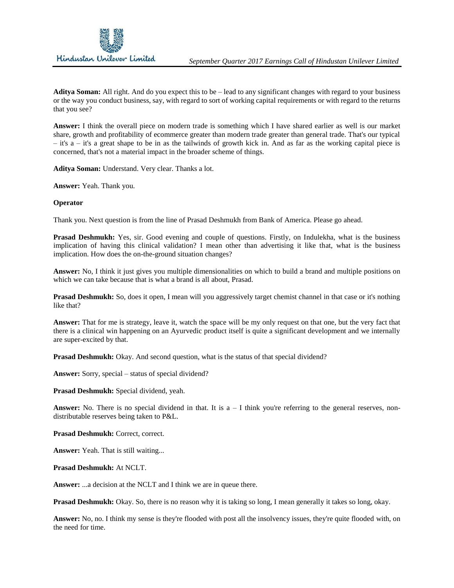

**Aditya Soman:** All right. And do you expect this to be – lead to any significant changes with regard to your business or the way you conduct business, say, with regard to sort of working capital requirements or with regard to the returns that you see?

**Answer:** I think the overall piece on modern trade is something which I have shared earlier as well is our market share, growth and profitability of ecommerce greater than modern trade greater than general trade. That's our typical – it's a – it's a great shape to be in as the tailwinds of growth kick in. And as far as the working capital piece is concerned, that's not a material impact in the broader scheme of things.

**Aditya Soman:** Understand. Very clear. Thanks a lot.

**Answer:** Yeah. Thank you.

#### **Operator**

Thank you. Next question is from the line of Prasad Deshmukh from Bank of America. Please go ahead.

**Prasad Deshmukh:** Yes, sir. Good evening and couple of questions. Firstly, on Indulekha, what is the business implication of having this clinical validation? I mean other than advertising it like that, what is the business implication. How does the on-the-ground situation changes?

**Answer:** No, I think it just gives you multiple dimensionalities on which to build a brand and multiple positions on which we can take because that is what a brand is all about. Prasad.

**Prasad Deshmukh:** So, does it open, I mean will you aggressively target chemist channel in that case or it's nothing like that?

**Answer:** That for me is strategy, leave it, watch the space will be my only request on that one, but the very fact that there is a clinical win happening on an Ayurvedic product itself is quite a significant development and we internally are super-excited by that.

**Prasad Deshmukh:** Okay. And second question, what is the status of that special dividend?

**Answer:** Sorry, special – status of special dividend?

**Prasad Deshmukh:** Special dividend, yeah.

**Answer:** No. There is no special dividend in that. It is  $a - I$  think you're referring to the general reserves, nondistributable reserves being taken to P&L.

Prasad Deshmukh: Correct, correct.

**Answer:** Yeah. That is still waiting...

**Prasad Deshmukh:** At NCLT.

**Answer:** ...a decision at the NCLT and I think we are in queue there.

**Prasad Deshmukh:** Okay. So, there is no reason why it is taking so long, I mean generally it takes so long, okay.

**Answer:** No, no. I think my sense is they're flooded with post all the insolvency issues, they're quite flooded with, on the need for time.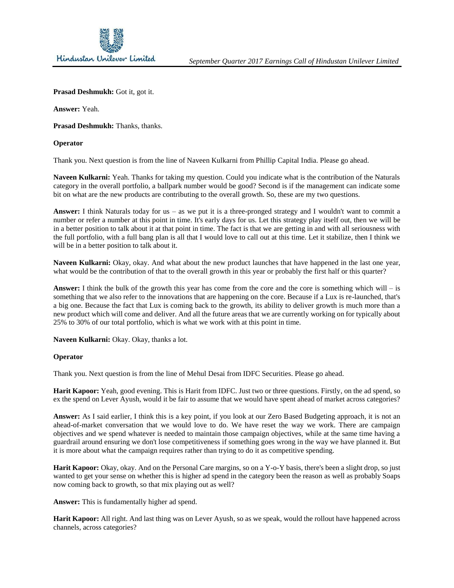

Prasad Deshmukh: Got it, got it.

**Answer:** Yeah.

Prasad Deshmukh: Thanks, thanks.

### **Operator**

Thank you. Next question is from the line of Naveen Kulkarni from Phillip Capital India. Please go ahead.

**Naveen Kulkarni:** Yeah. Thanks for taking my question. Could you indicate what is the contribution of the Naturals category in the overall portfolio, a ballpark number would be good? Second is if the management can indicate some bit on what are the new products are contributing to the overall growth. So, these are my two questions.

**Answer:** I think Naturals today for us – as we put it is a three-pronged strategy and I wouldn't want to commit a number or refer a number at this point in time. It's early days for us. Let this strategy play itself out, then we will be in a better position to talk about it at that point in time. The fact is that we are getting in and with all seriousness with the full portfolio, with a full bang plan is all that I would love to call out at this time. Let it stabilize, then I think we will be in a better position to talk about it.

**Naveen Kulkarni:** Okay, okay. And what about the new product launches that have happened in the last one year, what would be the contribution of that to the overall growth in this year or probably the first half or this quarter?

**Answer:** I think the bulk of the growth this year has come from the core and the core is something which will – is something that we also refer to the innovations that are happening on the core. Because if a Lux is re-launched, that's a big one. Because the fact that Lux is coming back to the growth, its ability to deliver growth is much more than a new product which will come and deliver. And all the future areas that we are currently working on for typically about 25% to 30% of our total portfolio, which is what we work with at this point in time.

Naveen Kulkarni: Okay. Okay, thanks a lot.

## **Operator**

Thank you. Next question is from the line of Mehul Desai from IDFC Securities. Please go ahead.

**Harit Kapoor:** Yeah, good evening. This is Harit from IDFC. Just two or three questions. Firstly, on the ad spend, so ex the spend on Lever Ayush, would it be fair to assume that we would have spent ahead of market across categories?

**Answer:** As I said earlier, I think this is a key point, if you look at our Zero Based Budgeting approach, it is not an ahead-of-market conversation that we would love to do. We have reset the way we work. There are campaign objectives and we spend whatever is needed to maintain those campaign objectives, while at the same time having a guardrail around ensuring we don't lose competitiveness if something goes wrong in the way we have planned it. But it is more about what the campaign requires rather than trying to do it as competitive spending.

Harit Kapoor: Okay, okay. And on the Personal Care margins, so on a Y-o-Y basis, there's been a slight drop, so just wanted to get your sense on whether this is higher ad spend in the category been the reason as well as probably Soaps now coming back to growth, so that mix playing out as well?

**Answer:** This is fundamentally higher ad spend.

**Harit Kapoor:** All right. And last thing was on Lever Ayush, so as we speak, would the rollout have happened across channels, across categories?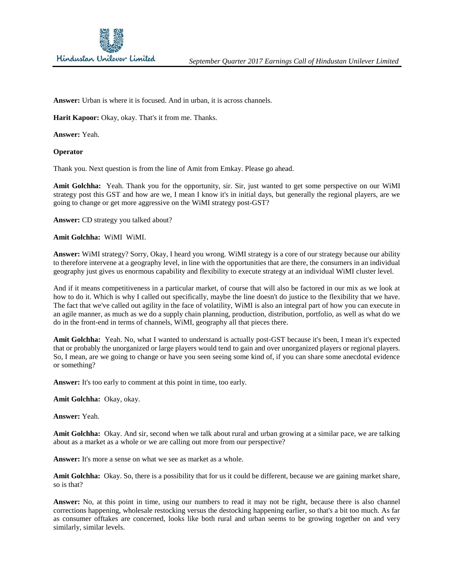

**Answer:** Urban is where it is focused. And in urban, it is across channels.

**Harit Kapoor:** Okay, okay. That's it from me. Thanks.

**Answer:** Yeah.

#### **Operator**

Thank you. Next question is from the line of Amit from Emkay. Please go ahead.

**Amit Golchha:** Yeah. Thank you for the opportunity, sir. Sir, just wanted to get some perspective on our WiMI strategy post this GST and how are we, I mean I know it's in initial days, but generally the regional players, are we going to change or get more aggressive on the WiMI strategy post-GST?

**Answer:** CD strategy you talked about?

**Amit Golchha:** WiMI WiMI.

**Answer:** WiMI strategy? Sorry, Okay, I heard you wrong. WiMI strategy is a core of our strategy because our ability to therefore intervene at a geography level, in line with the opportunities that are there, the consumers in an individual geography just gives us enormous capability and flexibility to execute strategy at an individual WiMI cluster level.

And if it means competitiveness in a particular market, of course that will also be factored in our mix as we look at how to do it. Which is why I called out specifically, maybe the line doesn't do justice to the flexibility that we have. The fact that we've called out agility in the face of volatility, WiMI is also an integral part of how you can execute in an agile manner, as much as we do a supply chain planning, production, distribution, portfolio, as well as what do we do in the front-end in terms of channels, WiMI, geography all that pieces there.

**Amit Golchha:** Yeah. No, what I wanted to understand is actually post-GST because it's been, I mean it's expected that or probably the unorganized or large players would tend to gain and over unorganized players or regional players. So, I mean, are we going to change or have you seen seeing some kind of, if you can share some anecdotal evidence or something?

**Answer:** It's too early to comment at this point in time, too early.

**Amit Golchha:** Okay, okay.

**Answer:** Yeah.

**Amit Golchha:** Okay. And sir, second when we talk about rural and urban growing at a similar pace, we are talking about as a market as a whole or we are calling out more from our perspective?

**Answer:** It's more a sense on what we see as market as a whole.

**Amit Golchha:** Okay. So, there is a possibility that for us it could be different, because we are gaining market share, so is that?

**Answer:** No, at this point in time, using our numbers to read it may not be right, because there is also channel corrections happening, wholesale restocking versus the destocking happening earlier, so that's a bit too much. As far as consumer offtakes are concerned, looks like both rural and urban seems to be growing together on and very similarly, similar levels.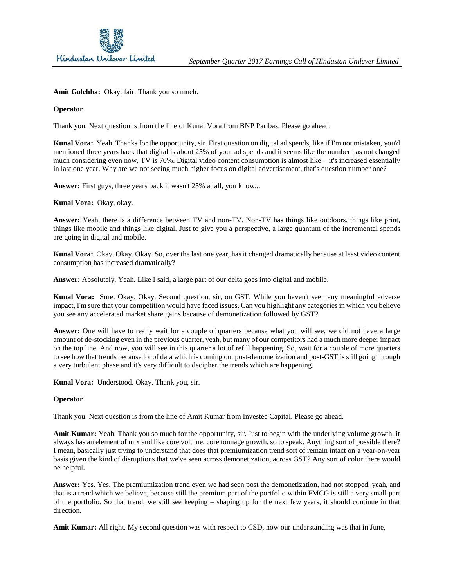

Amit Golchha: Okay, fair. Thank you so much.

## **Operator**

Thank you. Next question is from the line of Kunal Vora from BNP Paribas. Please go ahead.

**Kunal Vora:** Yeah. Thanks for the opportunity, sir. First question on digital ad spends, like if I'm not mistaken, you'd mentioned three years back that digital is about 25% of your ad spends and it seems like the number has not changed much considering even now, TV is 70%. Digital video content consumption is almost like – it's increased essentially in last one year. Why are we not seeing much higher focus on digital advertisement, that's question number one?

**Answer:** First guys, three years back it wasn't 25% at all, you know...

**Kunal Vora:** Okay, okay.

**Answer:** Yeah, there is a difference between TV and non-TV. Non-TV has things like outdoors, things like print, things like mobile and things like digital. Just to give you a perspective, a large quantum of the incremental spends are going in digital and mobile.

**Kunal Vora:** Okay. Okay. Okay. So, over the last one year, has it changed dramatically because at least video content consumption has increased dramatically?

**Answer:** Absolutely, Yeah. Like I said, a large part of our delta goes into digital and mobile.

**Kunal Vora:** Sure. Okay. Okay. Second question, sir, on GST. While you haven't seen any meaningful adverse impact, I'm sure that your competition would have faced issues. Can you highlight any categories in which you believe you see any accelerated market share gains because of demonetization followed by GST?

**Answer:** One will have to really wait for a couple of quarters because what you will see, we did not have a large amount of de-stocking even in the previous quarter, yeah, but many of our competitors had a much more deeper impact on the top line. And now, you will see in this quarter a lot of refill happening. So, wait for a couple of more quarters to see how that trends because lot of data which is coming out post-demonetization and post-GST is still going through a very turbulent phase and it's very difficult to decipher the trends which are happening.

**Kunal Vora:** Understood. Okay. Thank you, sir.

#### **Operator**

Thank you. Next question is from the line of Amit Kumar from Investec Capital. Please go ahead.

**Amit Kumar:** Yeah. Thank you so much for the opportunity, sir. Just to begin with the underlying volume growth, it always has an element of mix and like core volume, core tonnage growth, so to speak. Anything sort of possible there? I mean, basically just trying to understand that does that premiumization trend sort of remain intact on a year-on-year basis given the kind of disruptions that we've seen across demonetization, across GST? Any sort of color there would be helpful.

**Answer:** Yes. Yes. The premiumization trend even we had seen post the demonetization, had not stopped, yeah, and that is a trend which we believe, because still the premium part of the portfolio within FMCG is still a very small part of the portfolio. So that trend, we still see keeping – shaping up for the next few years, it should continue in that direction.

**Amit Kumar:** All right. My second question was with respect to CSD, now our understanding was that in June,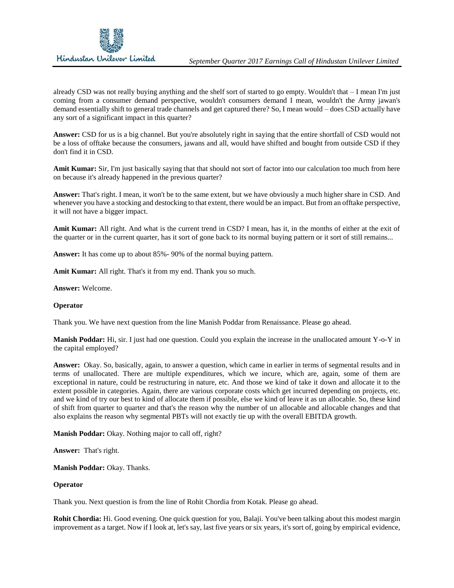

already CSD was not really buying anything and the shelf sort of started to go empty. Wouldn't that – I mean I'm just coming from a consumer demand perspective, wouldn't consumers demand I mean, wouldn't the Army jawan's demand essentially shift to general trade channels and get captured there? So, I mean would – does CSD actually have any sort of a significant impact in this quarter?

**Answer:** CSD for us is a big channel. But you're absolutely right in saying that the entire shortfall of CSD would not be a loss of offtake because the consumers, jawans and all, would have shifted and bought from outside CSD if they don't find it in CSD.

**Amit Kumar:** Sir, I'm just basically saying that that should not sort of factor into our calculation too much from here on because it's already happened in the previous quarter?

**Answer:** That's right. I mean, it won't be to the same extent, but we have obviously a much higher share in CSD. And whenever you have a stocking and destocking to that extent, there would be an impact. But from an offtake perspective, it will not have a bigger impact.

**Amit Kumar:** All right. And what is the current trend in CSD? I mean, has it, in the months of either at the exit of the quarter or in the current quarter, has it sort of gone back to its normal buying pattern or it sort of still remains...

**Answer:** It has come up to about 85%- 90% of the normal buying pattern.

**Amit Kumar:** All right. That's it from my end. Thank you so much.

**Answer:** Welcome.

#### **Operator**

Thank you. We have next question from the line Manish Poddar from Renaissance. Please go ahead.

**Manish Poddar:** Hi, sir. I just had one question. Could you explain the increase in the unallocated amount Y-o-Y in the capital employed?

**Answer:** Okay. So, basically, again, to answer a question, which came in earlier in terms of segmental results and in terms of unallocated. There are multiple expenditures, which we incure, which are, again, some of them are exceptional in nature, could be restructuring in nature, etc. And those we kind of take it down and allocate it to the extent possible in categories. Again, there are various corporate costs which get incurred depending on projects, etc. and we kind of try our best to kind of allocate them if possible, else we kind of leave it as un allocable. So, these kind of shift from quarter to quarter and that's the reason why the number of un allocable and allocable changes and that also explains the reason why segmental PBTs will not exactly tie up with the overall EBITDA growth.

**Manish Poddar:** Okay. Nothing major to call off, right?

**Answer:** That's right.

**Manish Poddar:** Okay. Thanks.

#### **Operator**

Thank you. Next question is from the line of Rohit Chordia from Kotak. Please go ahead.

**Rohit Chordia:** Hi. Good evening. One quick question for you, Balaji. You've been talking about this modest margin improvement as a target. Now if I look at, let's say, last five years or six years, it's sort of, going by empirical evidence,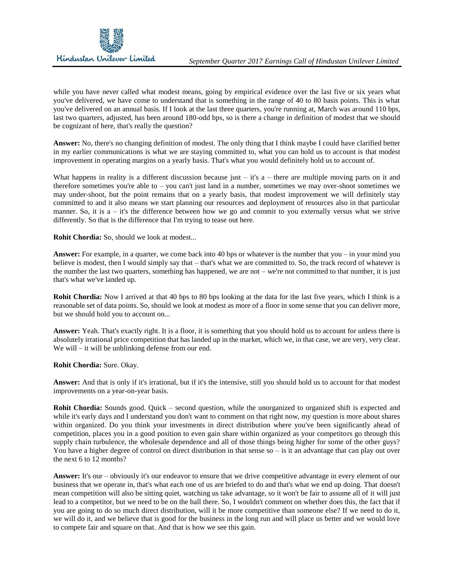while you have never called what modest means, going by empirical evidence over the last five or six years what you've delivered, we have come to understand that is something in the range of 40 to 80 basis points. This is what you've delivered on an annual basis. If I look at the last three quarters, you're running at, March was around 110 bps, last two quarters, adjusted, has been around 180-odd bps, so is there a change in definition of modest that we should be cognizant of here, that's really the question?

**Answer:** No, there's no changing definition of modest. The only thing that I think maybe I could have clarified better in my earlier communications is what we are staying committed to, what you can hold us to account is that modest improvement in operating margins on a yearly basis. That's what you would definitely hold us to account of.

What happens in reality is a different discussion because just – it's a – there are multiple moving parts on it and therefore sometimes you're able to – you can't just land in a number, sometimes we may over-shoot sometimes we may under-shoot, but the point remains that on a yearly basis, that modest improvement we will definitely stay committed to and it also means we start planning our resources and deployment of resources also in that particular manner. So, it is a – it's the difference between how we go and commit to you externally versus what we strive differently. So that is the difference that I'm trying to tease out here.

**Rohit Chordia:** So, should we look at modest...

**Answer:** For example, in a quarter, we come back into 40 bps or whatever is the number that you – in your mind you believe is modest, then I would simply say that – that's what we are committed to. So, the track record of whatever is the number the last two quarters, something has happened, we are not – we're not committed to that number, it is just that's what we've landed up.

**Rohit Chordia:** Now I arrived at that 40 bps to 80 bps looking at the data for the last five years, which I think is a reasonable set of data points. So, should we look at modest as more of a floor in some sense that you can deliver more, but we should hold you to account on...

**Answer:** Yeah. That's exactly right. It is a floor, it is something that you should hold us to account for unless there is absolutely irrational price competition that has landed up in the market, which we, in that case, we are very, very clear. We will – it will be unblinking defense from our end.

**Rohit Chordia:** Sure. Okay.

**Answer:** And that is only if it's irrational, but if it's the intensive, still you should hold us to account for that modest improvements on a year-on-year basis.

**Rohit Chordia:** Sounds good. Quick – second question, while the unorganized to organized shift is expected and while it's early days and I understand you don't want to comment on that right now, my question is more about shares within organized. Do you think your investments in direct distribution where you've been significantly ahead of competition, places you in a good position to even gain share within organized as your competitors go through this supply chain turbulence, the wholesale dependence and all of those things being higher for some of the other guys? You have a higher degree of control on direct distribution in that sense so – is it an advantage that can play out over the next 6 to 12 months?

**Answer:** It's our – obviously it's our endeavor to ensure that we drive competitive advantage in every element of our business that we operate in, that's what each one of us are briefed to do and that's what we end up doing. That doesn't mean competition will also be sitting quiet, watching us take advantage, so it won't be fair to assume all of it will just lead to a competitor, but we need to be on the ball there. So, I wouldn't comment on whether does this, the fact that if you are going to do so much direct distribution, will it be more competitive than someone else? If we need to do it, we will do it, and we believe that is good for the business in the long run and will place us better and we would love to compete fair and square on that. And that is how we see this gain.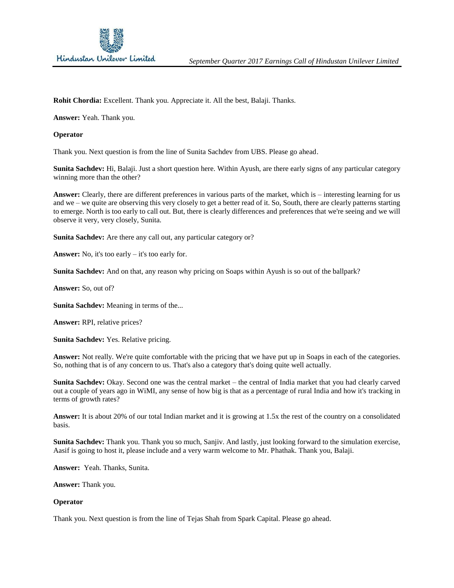

**Rohit Chordia:** Excellent. Thank you. Appreciate it. All the best, Balaji. Thanks.

**Answer:** Yeah. Thank you.

#### **Operator**

Thank you. Next question is from the line of Sunita Sachdev from UBS. Please go ahead.

**Sunita Sachdev:** Hi, Balaji. Just a short question here. Within Ayush, are there early signs of any particular category winning more than the other?

**Answer:** Clearly, there are different preferences in various parts of the market, which is – interesting learning for us and we – we quite are observing this very closely to get a better read of it. So, South, there are clearly patterns starting to emerge. North is too early to call out. But, there is clearly differences and preferences that we're seeing and we will observe it very, very closely, Sunita.

**Sunita Sachdev:** Are there any call out, any particular category or?

**Answer:** No, it's too early – it's too early for.

**Sunita Sachdev:** And on that, any reason why pricing on Soaps within Ayush is so out of the ballpark?

**Answer:** So, out of?

**Sunita Sachdev:** Meaning in terms of the...

**Answer:** RPI, relative prices?

**Sunita Sachdev:** Yes. Relative pricing.

**Answer:** Not really. We're quite comfortable with the pricing that we have put up in Soaps in each of the categories. So, nothing that is of any concern to us. That's also a category that's doing quite well actually.

**Sunita Sachdev:** Okay. Second one was the central market – the central of India market that you had clearly carved out a couple of years ago in WiMI, any sense of how big is that as a percentage of rural India and how it's tracking in terms of growth rates?

**Answer:** It is about 20% of our total Indian market and it is growing at 1.5x the rest of the country on a consolidated basis.

**Sunita Sachdev:** Thank you. Thank you so much, Sanjiv. And lastly, just looking forward to the simulation exercise, Aasif is going to host it, please include and a very warm welcome to Mr. Phathak. Thank you, Balaji.

**Answer:** Yeah. Thanks, Sunita.

**Answer:** Thank you.

#### **Operator**

Thank you. Next question is from the line of Tejas Shah from Spark Capital. Please go ahead.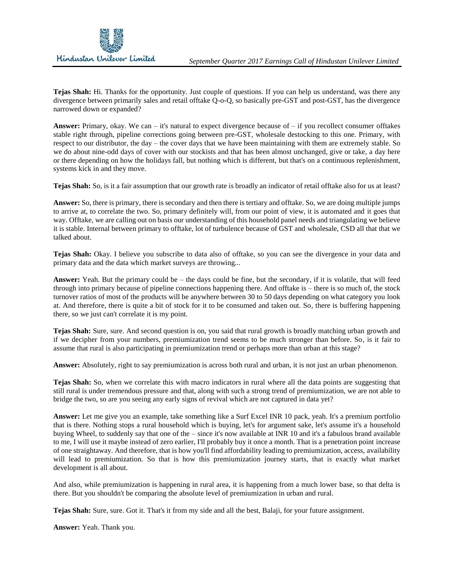

**Tejas Shah:** Hi. Thanks for the opportunity. Just couple of questions. If you can help us understand, was there any divergence between primarily sales and retail offtake Q-o-Q, so basically pre-GST and post-GST, has the divergence narrowed down or expanded?

**Answer:** Primary, okay. We can – it's natural to expect divergence because of – if you recollect consumer offtakes stable right through, pipeline corrections going between pre-GST, wholesale destocking to this one. Primary, with respect to our distributor, the day – the cover days that we have been maintaining with them are extremely stable. So we do about nine-odd days of cover with our stockists and that has been almost unchanged, give or take, a day here or there depending on how the holidays fall, but nothing which is different, but that's on a continuous replenishment, systems kick in and they move.

**Tejas Shah:** So, is it a fair assumption that our growth rate is broadly an indicator of retail offtake also for us at least?

**Answer:** So, there is primary, there is secondary and then there is tertiary and offtake. So, we are doing multiple jumps to arrive at, to correlate the two. So, primary definitely will, from our point of view, it is automated and it goes that way. Offtake, we are calling out on basis our understanding of this household panel needs and triangulating we believe it is stable. Internal between primary to offtake, lot of turbulence because of GST and wholesale, CSD all that that we talked about.

**Tejas Shah:** Okay. I believe you subscribe to data also of offtake, so you can see the divergence in your data and primary data and the data which market surveys are throwing...

**Answer:** Yeah. But the primary could be – the days could be fine, but the secondary, if it is volatile, that will feed through into primary because of pipeline connections happening there. And offtake is – there is so much of, the stock turnover ratios of most of the products will be anywhere between 30 to 50 days depending on what category you look at. And therefore, there is quite a bit of stock for it to be consumed and taken out. So, there is buffering happening there, so we just can't correlate it is my point.

**Tejas Shah:** Sure, sure. And second question is on, you said that rural growth is broadly matching urban growth and if we decipher from your numbers, premiumization trend seems to be much stronger than before. So, is it fair to assume that rural is also participating in premiumization trend or perhaps more than urban at this stage?

**Answer:** Absolutely, right to say premiumization is across both rural and urban, it is not just an urban phenomenon.

**Tejas Shah:** So, when we correlate this with macro indicators in rural where all the data points are suggesting that still rural is under tremendous pressure and that, along with such a strong trend of premiumization, we are not able to bridge the two, so are you seeing any early signs of revival which are not captured in data yet?

**Answer:** Let me give you an example, take something like a Surf Excel INR 10 pack, yeah. It's a premium portfolio that is there. Nothing stops a rural household which is buying, let's for argument sake, let's assume it's a household buying Wheel, to suddenly say that one of the – since it's now available at INR 10 and it's a fabulous brand available to me, I will use it maybe instead of zero earlier, I'll probably buy it once a month. That is a penetration point increase of one straightaway. And therefore, that is how you'll find affordability leading to premiumization, access, availability will lead to premiumization. So that is how this premiumization journey starts, that is exactly what market development is all about.

And also, while premiumization is happening in rural area, it is happening from a much lower base, so that delta is there. But you shouldn't be comparing the absolute level of premiumization in urban and rural.

**Tejas Shah:** Sure, sure. Got it. That's it from my side and all the best, Balaji, for your future assignment.

**Answer:** Yeah. Thank you.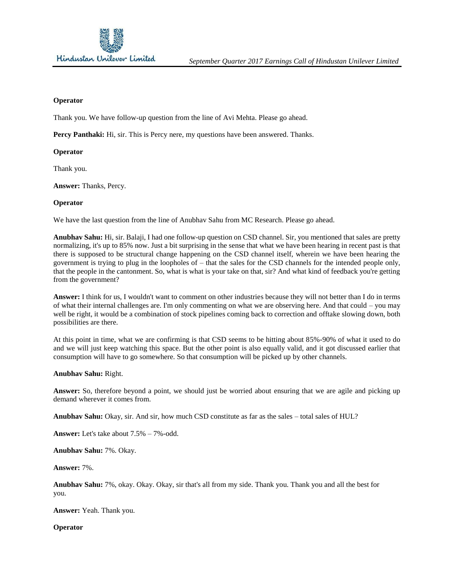

### **Operator**

Thank you. We have follow-up question from the line of Avi Mehta. Please go ahead.

Percy Panthaki: Hi, sir. This is Percy nere, my questions have been answered. Thanks.

#### **Operator**

Thank you.

**Answer:** Thanks, Percy.

#### **Operator**

We have the last question from the line of Anubhav Sahu from MC Research. Please go ahead.

**Anubhav Sahu:** Hi, sir. Balaji, I had one follow-up question on CSD channel. Sir, you mentioned that sales are pretty normalizing, it's up to 85% now. Just a bit surprising in the sense that what we have been hearing in recent past is that there is supposed to be structural change happening on the CSD channel itself, wherein we have been hearing the government is trying to plug in the loopholes of – that the sales for the CSD channels for the intended people only, that the people in the cantonment. So, what is what is your take on that, sir? And what kind of feedback you're getting from the government?

**Answer:** I think for us, I wouldn't want to comment on other industries because they will not better than I do in terms of what their internal challenges are. I'm only commenting on what we are observing here. And that could – you may well be right, it would be a combination of stock pipelines coming back to correction and offtake slowing down, both possibilities are there.

At this point in time, what we are confirming is that CSD seems to be hitting about 85%-90% of what it used to do and we will just keep watching this space. But the other point is also equally valid, and it got discussed earlier that consumption will have to go somewhere. So that consumption will be picked up by other channels.

**Anubhav Sahu:** Right.

Answer: So, therefore beyond a point, we should just be worried about ensuring that we are agile and picking up demand wherever it comes from.

**Anubhav Sahu:** Okay, sir. And sir, how much CSD constitute as far as the sales – total sales of HUL?

**Answer:** Let's take about 7.5% – 7%-odd.

**Anubhav Sahu:** 7%. Okay.

**Answer:** 7%.

**Anubhav Sahu:** 7%, okay. Okay. Okay, sir that's all from my side. Thank you. Thank you and all the best for you.

**Answer:** Yeah. Thank you.

**Operator**